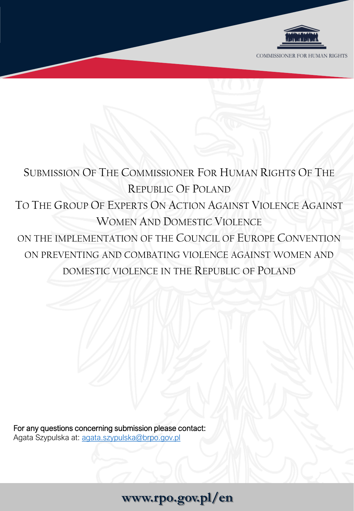

# SUBMISSION OF THE COMMISSIONER FOR HUMAN RIGHTS OF THE REPUBLIC OF POLAND TO THE GROUP OF EXPERTS ON ACTION AGAINST VIOLENCE AGAINST WOMEN AND DOMESTIC VIOLENCE ON THE IMPLEMENTATION OF THE COUNCIL OF EUROPE CONVENTION ON PREVENTING AND COMBATING VIOLENCE AGAINST WOMEN AND DOMESTIC VIOLENCE IN THE REPUBLIC OF POLAND

For any questions concerning submission please contact: Agata Szypulska at: [agata.szypulska@brpo.gov.pl](mailto:agata.szypulska@brpo.gov.pl)

# **www.rpo.gov.pl/en**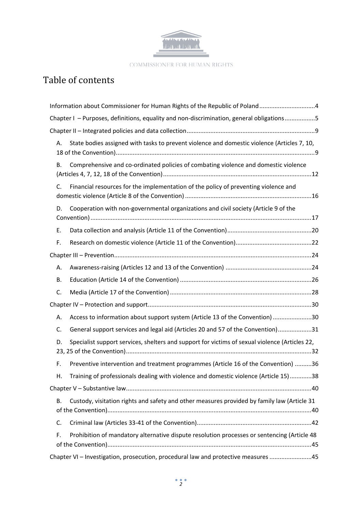

# Table of contents

| Information about Commissioner for Human Rights of the Republic of Poland4                               |
|----------------------------------------------------------------------------------------------------------|
| Chapter I - Purposes, definitions, equality and non-discrimination, general obligations5                 |
|                                                                                                          |
| State bodies assigned with tasks to prevent violence and domestic violence (Articles 7, 10,<br>Α.        |
| Comprehensive and co-ordinated policies of combating violence and domestic violence<br>В.                |
| Financial resources for the implementation of the policy of preventing violence and<br>$C_{\cdot}$       |
| Cooperation with non-governmental organizations and civil society (Article 9 of the<br>D.                |
| Ε.                                                                                                       |
| F.                                                                                                       |
|                                                                                                          |
| А.                                                                                                       |
| В.                                                                                                       |
| C.                                                                                                       |
|                                                                                                          |
| Access to information about support system (Article 13 of the Convention) 30<br>А.                       |
| General support services and legal aid (Articles 20 and 57 of the Convention)31<br>C.                    |
| Specialist support services, shelters and support for victims of sexual violence (Articles 22,<br>D.     |
| Preventive intervention and treatment programmes (Article 16 of the Convention) 36<br>F.                 |
| H. Training of professionals dealing with violence and domestic violence (Article 15)38                  |
|                                                                                                          |
| Custody, visitation rights and safety and other measures provided by family law (Article 31<br><b>B.</b> |
| C.                                                                                                       |
| Prohibition of mandatory alternative dispute resolution processes or sentencing (Article 48<br>F.        |
| Chapter VI - Investigation, prosecution, procedural law and protective measures 45                       |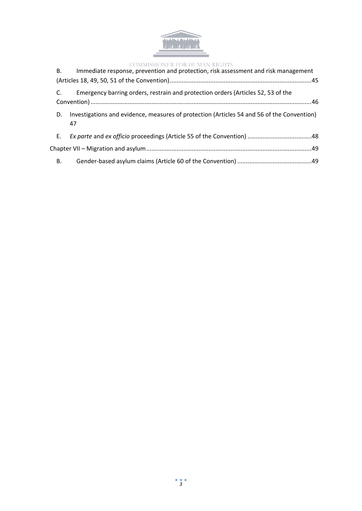

| В. | Immediate response, prevention and protection, risk assessment and risk management               |
|----|--------------------------------------------------------------------------------------------------|
| C. | Emergency barring orders, restrain and protection orders (Articles 52, 53 of the                 |
| D. | Investigations and evidence, measures of protection (Articles 54 and 56 of the Convention)<br>47 |
| Е. |                                                                                                  |
|    |                                                                                                  |
| В. |                                                                                                  |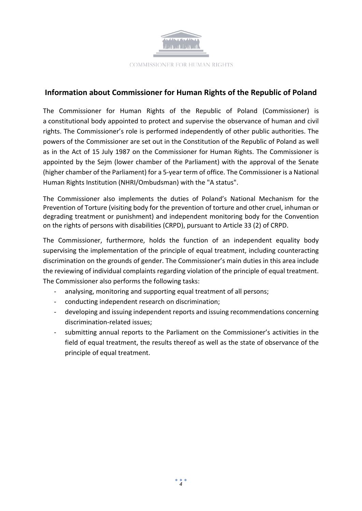

# <span id="page-3-0"></span>**Information about Commissioner for Human Rights of the Republic of Poland**

The Commissioner for Human Rights of the Republic of Poland (Commissioner) is a constitutional body appointed to protect and supervise the observance of human and civil rights. The Commissioner's role is performed independently of other public authorities. The powers of the Commissioner are set out in the Constitution of the Republic of Poland as well as in the Act of 15 July 1987 on the Commissioner for Human Rights. The Commissioner is appointed by the Sejm (lower chamber of the Parliament) with the approval of the Senate (higher chamber of the Parliament) for a 5-year term of office. The Commissioner is a National Human Rights Institution (NHRI/Ombudsman) with the "A status".

The Commissioner also implements the duties of Poland's National Mechanism for the Prevention of Torture (visiting body for the prevention of torture and other cruel, inhuman or degrading treatment or punishment) and independent monitoring body for the Convention on the rights of persons with disabilities (CRPD), pursuant to Article 33 (2) of CRPD.

The Commissioner, furthermore, holds the function of an independent equality body supervising the implementation of the principle of equal treatment, including counteracting discrimination on the grounds of gender. The Commissioner's main duties in this area include the reviewing of individual complaints regarding violation of the principle of equal treatment. The Commissioner also performs the following tasks:

- analysing, monitoring and supporting equal treatment of all persons;
- conducting independent research on discrimination;
- developing and issuing independent reports and issuing recommendations concerning discrimination-related issues;
- submitting annual reports to the Parliament on the Commissioner's activities in the field of equal treatment, the results thereof as well as the state of observance of the principle of equal treatment.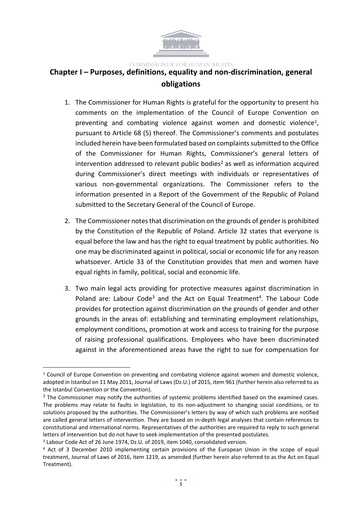

# <span id="page-4-0"></span>**Chapter I – Purposes, definitions, equality and non-discrimination, general obligations**

- 1. The Commissioner for Human Rights is grateful for the opportunity to present his comments on the implementation of the Council of Europe Convention on preventing and combating violence against women and domestic violence<sup>1</sup>, pursuant to Article 68 (5) thereof. The Commissioner's comments and postulates included herein have been formulated based on complaints submitted to the Office of the Commissioner for Human Rights, Commissioner's general letters of  $intervention$  addressed to relevant public bodies<sup>2</sup> as well as information acquired during Commissioner's direct meetings with individuals or representatives of various non-governmental organizations. The Commissioner refers to the information presented in a Report of the Government of the Republic of Poland submitted to the Secretary General of the Council of Europe.
- 2. The Commissioner notes that discrimination on the grounds of gender is prohibited by the Constitution of the Republic of Poland. Article 32 states that everyone is equal before the law and has the right to equal treatment by public authorities. No one may be discriminated against in political, social or economic life for any reason whatsoever. Article 33 of the Constitution provides that men and women have equal rights in family, political, social and economic life.
- 3. Two main legal acts providing for protective measures against discrimination in Poland are: Labour Code<sup>3</sup> and the Act on Equal Treatment<sup>4</sup>. The Labour Code provides for protection against discrimination on the grounds of gender and other grounds in the areas of: establishing and terminating employment relationships, employment conditions, promotion at work and access to training for the purpose of raising professional qualifications. Employees who have been discriminated against in the aforementioned areas have the right to sue for compensation for

<sup>&</sup>lt;sup>1</sup> Council of Europe Convention on preventing and combating violence against women and domestic violence, adopted in Istanbul on 11 May 2011, Journal of Laws (Dz.U.) of 2015, item 961 (further herein also referred to as the Istanbul Convention or the Convention).

<sup>&</sup>lt;sup>2</sup> The Commissioner may notify the authorities of systemic problems identified based on the examined cases. The problems may relate to faults in legislation, to its non-adjustment to changing social conditions, or to solutions proposed by the authorities. The Commissioner's letters by way of which such problems are notified are called general letters of intervention. They are based on in-depth legal analyses that contain references to constitutional and international norms. Representatives of the authorities are required to reply to such general letters of intervention but do not have to seek implementation of the presented postulates.

<sup>&</sup>lt;sup>3</sup> Labour Code Act of 26 June 1974, Dz.U. of 2019, item 1040, consolidated version.

<sup>&</sup>lt;sup>4</sup> Act of 3 December 2010 implementing certain provisions of the European Union in the scope of equal treatment, Journal of Laws of 2016, item 1219, as amended (further herein also referred to as the Act on Equal Treatment).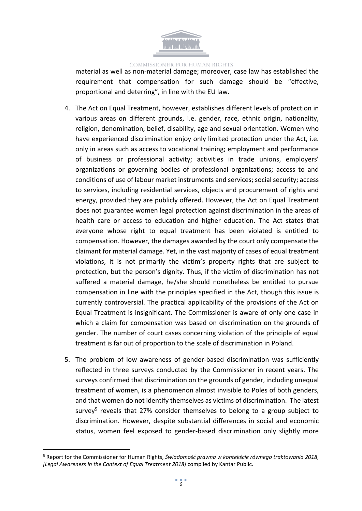

material as well as non-material damage; moreover, case law has established the requirement that compensation for such damage should be "effective, proportional and deterring", in line with the EU law.

- 4. The Act on Equal Treatment, however, establishes different levels of protection in various areas on different grounds, i.e. gender, race, ethnic origin, nationality, religion, denomination, belief, disability, age and sexual orientation. Women who have experienced discrimination enjoy only limited protection under the Act, i.e. only in areas such as access to vocational training; employment and performance of business or professional activity; activities in trade unions, employers' organizations or governing bodies of professional organizations; access to and conditions of use of labour market instruments and services; social security; access to services, including residential services, objects and procurement of rights and energy, provided they are publicly offered. However, the Act on Equal Treatment does not guarantee women legal protection against discrimination in the areas of health care or access to education and higher education. The Act states that everyone whose right to equal treatment has been violated is entitled to compensation. However, the damages awarded by the court only compensate the claimant for material damage. Yet, in the vast majority of cases of equal treatment violations, it is not primarily the victim's property rights that are subject to protection, but the person's dignity. Thus, if the victim of discrimination has not suffered a material damage, he/she should nonetheless be entitled to pursue compensation in line with the principles specified in the Act, though this issue is currently controversial. The practical applicability of the provisions of the Act on Equal Treatment is insignificant. The Commissioner is aware of only one case in which a claim for compensation was based on discrimination on the grounds of gender. The number of court cases concerning violation of the principle of equal treatment is far out of proportion to the scale of discrimination in Poland.
- 5. The problem of low awareness of gender-based discrimination was sufficiently reflected in three surveys conducted by the Commissioner in recent years. The surveys confirmed that discrimination on the grounds of gender, including unequal treatment of women, is a phenomenon almost invisible to Poles of both genders, and that women do not identify themselves as victims of discrimination. The latest survey<sup>5</sup> reveals that 27% consider themselves to belong to a group subject to discrimination. However, despite substantial differences in social and economic status, women feel exposed to gender-based discrimination only slightly more

<sup>5</sup> Report for the Commissioner for Human Rights, *Świadomość prawna w kontekście równego traktowania 2018*, *[Legal Awareness in the Context of Equal Treatment 2018]* compiled by Kantar Public.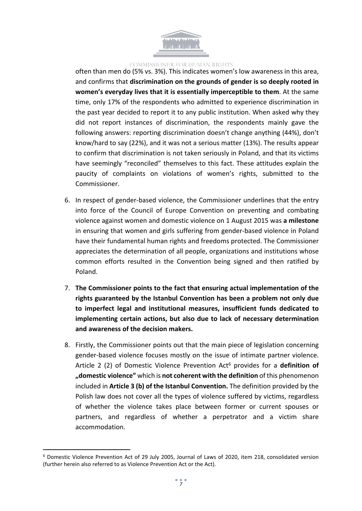

often than men do (5% vs. 3%). This indicates women's low awareness in this area, and confirms that **discrimination on the grounds of gender is so deeply rooted in women's everyday lives that it is essentially imperceptible to them**. At the same time, only 17% of the respondents who admitted to experience discrimination in the past year decided to report it to any public institution. When asked why they did not report instances of discrimination, the respondents mainly gave the following answers: reporting discrimination doesn't change anything (44%), don't know/hard to say (22%), and it was not a serious matter (13%). The results appear to confirm that discrimination is not taken seriously in Poland, and that its victims have seemingly "reconciled" themselves to this fact. These attitudes explain the paucity of complaints on violations of women's rights, submitted to the Commissioner.

- 6. In respect of gender-based violence, the Commissioner underlines that the entry into force of the Council of Europe Convention on preventing and combating violence against women and domestic violence on 1 August 2015 was **a milestone** in ensuring that women and girls suffering from gender-based violence in Poland have their fundamental human rights and freedoms protected. The Commissioner appreciates the determination of all people, organizations and institutions whose common efforts resulted in the Convention being signed and then ratified by Poland.
- 7. **The Commissioner points to the fact that ensuring actual implementation of the rights guaranteed by the Istanbul Convention has been a problem not only due to imperfect legal and institutional measures, insufficient funds dedicated to implementing certain actions, but also due to lack of necessary determination and awareness of the decision makers.**
- 8. Firstly, the Commissioner points out that the main piece of legislation concerning gender-based violence focuses mostly on the issue of intimate partner violence. Article 2 (2) of Domestic Violence Prevention Act<sup>6</sup> provides for a **definition of "domestic violence"** which is **not coherent with the definition** of this phenomenon included in **Article 3 (b) of the Istanbul Convention.** The definition provided by the Polish law does not cover all the types of violence suffered by victims, regardless of whether the violence takes place between former or current spouses or partners, and regardless of whether a perpetrator and a victim share accommodation.

<sup>6</sup> Domestic Violence Prevention Act of 29 July 2005, Journal of Laws of 2020, item 218, consolidated version (further herein also referred to as Violence Prevention Act or the Act).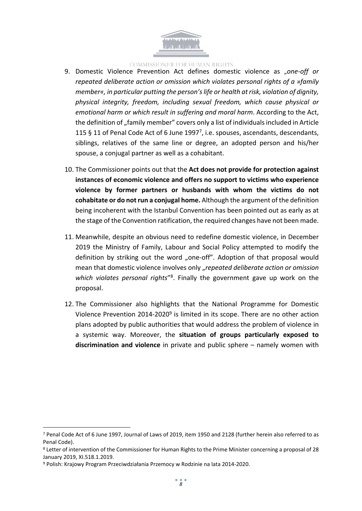

- 9. Domestic Violence Prevention Act defines domestic violence as "*one-off or repeated deliberate action or omission which violates personal rights of a »family member«, in particular putting the person'slife or health at risk, violation of dignity, physical integrity, freedom, including sexual freedom, which cause physical or emotional harm or which result in suffering and moral harm*. According to the Act, the definition of "family member" covers only a list of individuals included in Article 115 § 11 of Penal Code Act of 6 June 1997<sup>7</sup> , i.e. spouses, ascendants, descendants, siblings, relatives of the same line or degree, an adopted person and his/her spouse, a conjugal partner as well as a cohabitant.
- 10. The Commissioner points out that the **Act does not provide for protection against instances of economic violence and offers no support to victims who experience violence by former partners or husbands with whom the victims do not cohabitate or do notrun a conjugal home.** Although the argument of the definition being incoherent with the Istanbul Convention has been pointed out as early as at the stage of the Convention ratification, the required changes have not been made.
- 11. Meanwhile, despite an obvious need to redefine domestic violence, in December 2019 the Ministry of Family, Labour and Social Policy attempted to modify the definition by striking out the word "one-off". Adoption of that proposal would mean that domestic violence involves only "*repeated deliberate action or omission* which violates personal rights<sup>"8</sup>. Finally the government gave up work on the proposal.
- 12. The Commissioner also highlights that the National Programme for Domestic Violence Prevention 2014-2020<sup>9</sup> is limited in its scope. There are no other action plans adopted by public authorities that would address the problem of violence in a systemic way. Moreover, the **situation of groups particularly exposed to discrimination and violence** in private and public sphere – namely women with

<sup>7</sup> Penal Code Act of 6 June 1997, Journal of Laws of 2019, item 1950 and 2128 (further herein also referred to as Penal Code).

<sup>8</sup> Letter of intervention of the Commissioner for Human Rights to the Prime Minister concerning a proposal of 28 January 2019, XI.518.1.2019.

<sup>9</sup> Polish: Krajowy Program Przeciwdziałania Przemocy w Rodzinie na lata 2014-2020.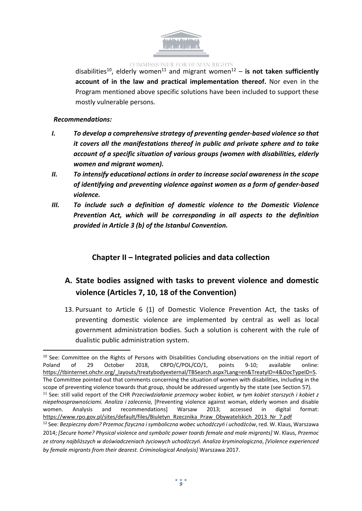

disabilities<sup>10</sup> , elderly women<sup>11</sup> and migrant women<sup>12</sup> – **is not taken sufficiently account of in the law and practical implementation thereof.** Nor even in the Program mentioned above specific solutions have been included to support these mostly vulnerable persons.

#### *Recommendations:*

- *I. To develop a comprehensive strategy of preventing gender-based violence so that it covers all the manifestations thereof in public and private sphere and to take account of a specific situation of various groups (women with disabilities, elderly women and migrant women).*
- *II. To intensify educational actions in order to increase social awareness in the scope of identifying and preventing violence against women as a form of gender-based violence.*
- *III. To include such a definition of domestic violence to the Domestic Violence Prevention Act, which will be corresponding in all aspects to the definition provided in Article 3 (b) of the Istanbul Convention.*

# <span id="page-8-0"></span>**Chapter II – Integrated policies and data collection**

# <span id="page-8-1"></span>**A. State bodies assigned with tasks to prevent violence and domestic violence (Articles 7, 10, 18 of the Convention)**

13. Pursuant to Article 6 (1) of Domestic Violence Prevention Act, the tasks of preventing domestic violence are implemented by central as well as local government administration bodies. Such a solution is coherent with the rule of dualistic public administration system.

<sup>&</sup>lt;sup>10</sup> See: Committee on the Rights of Persons with Disabilities Concluding observations on the initial report of Poland of 29 October 2018, CRPD/C/POL/CO/1, points 9-10; available online: [https://tbinternet.ohchr.org/\\_layouts/treatybodyexternal/TBSearch.aspx?Lang=en&TreatyID=4&DocTypeID=5.](https://tbinternet.ohchr.org/_layouts/treatybodyexternal/TBSearch.aspx?Lang=en&TreatyID=4&DocTypeID=5) The Committee pointed out that comments concerning the situation of women with disabilities, including in the scope of preventing violence towards that group, should be addressed urgently by the state (see Section 57). <sup>11</sup> See: still valid report of the CHR *Przeciwdziałanie przemocy wobec kobiet, w tym kobiet starszych i kobiet z niepełnosprawnościami. Analiza i zalecenia*, [Preventing violence against woman, elderly women and disable women. Analysis and recommendations] Warsaw 2013; accessed in digital format: [https://www.rpo.gov.pl/sites/default/files/Biuletyn\\_Rzecznika\\_Praw\\_Obywatelskich\\_2013\\_Nr\\_7.pdf](https://www.rpo.gov.pl/sites/default/files/Biuletyn_Rzecznika_Praw_Obywatelskich_2013_Nr_7.pdf)

<sup>12</sup> See: *Bezpieczny dom? Przemoc fizyczna isymboliczna wobec uchodźczyń i uchodźców*, red. W. Klaus, Warszawa 2014; *[Secure home? Physical violence and symbolic power toards female and male migrants]* W. Klaus, *Przemoc ze strony najbliższych w doświadczeniach życiowych uchodźczyń. Analiza kryminologiczna*, *[Violence experienced by female migrants from their dearest. Criminological Analysis]* Warszawa 2017.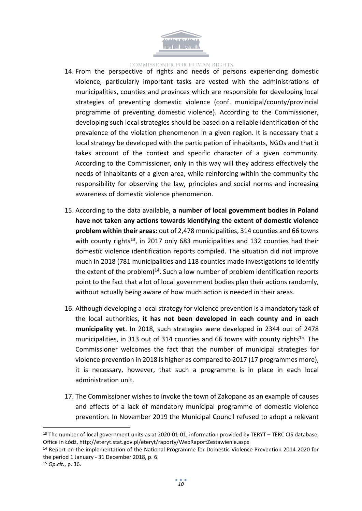

- 14. From the perspective of rights and needs of persons experiencing domestic violence, particularly important tasks are vested with the administrations of municipalities, counties and provinces which are responsible for developing local strategies of preventing domestic violence (conf. municipal/county/provincial programme of preventing domestic violence). According to the Commissioner, developing such local strategies should be based on a reliable identification of the prevalence of the violation phenomenon in a given region. It is necessary that a local strategy be developed with the participation of inhabitants, NGOs and that it takes account of the context and specific character of a given community. According to the Commissioner, only in this way will they address effectively the needs of inhabitants of a given area, while reinforcing within the community the responsibility for observing the law, principles and social norms and increasing awareness of domestic violence phenomenon.
- 15. According to the data available, **a number of local government bodies in Poland have not taken any actions towards identifying the extent of domestic violence problem within their areas:** out of 2,478 municipalities, 314 counties and 66 towns with county rights<sup>13</sup>, in 2017 only 683 municipalities and 132 counties had their domestic violence identification reports compiled. The situation did not improve much in 2018 (781 municipalities and 118 counties made investigations to identify the extent of the problem)<sup>14</sup>. Such a low number of problem identification reports point to the fact that a lot of local government bodies plan their actions randomly, without actually being aware of how much action is needed in their areas.
- 16. Although developing a local strategy for violence prevention is a mandatory task of the local authorities, **it has not been developed in each county and in each municipality yet**. In 2018, such strategies were developed in 2344 out of 2478 municipalities, in 313 out of 314 counties and 66 towns with county rights<sup>15</sup>. The Commissioner welcomes the fact that the number of municipal strategies for violence prevention in 2018 is higher as compared to 2017 (17 programmes more), it is necessary, however, that such a programme is in place in each local administration unit.
- 17. The Commissioner wishes to invoke the town of Zakopane as an example of causes and effects of a lack of mandatory municipal programme of domestic violence prevention. In November 2019 the Municipal Council refused to adopt a relevant

<sup>&</sup>lt;sup>13</sup> The number of local government units as at 2020-01-01, information provided by TERYT – TERC CIS database, Office in Łódź, <http://eteryt.stat.gov.pl/eteryt/raporty/WebRaportZestawienie.aspx>

<sup>14</sup> Report on the implementation of the National Programme for Domestic Violence Prevention 2014-2020 for the period 1 January - 31 December 2018, p. 6.

<sup>15</sup> *Op.cit.*, p. 36.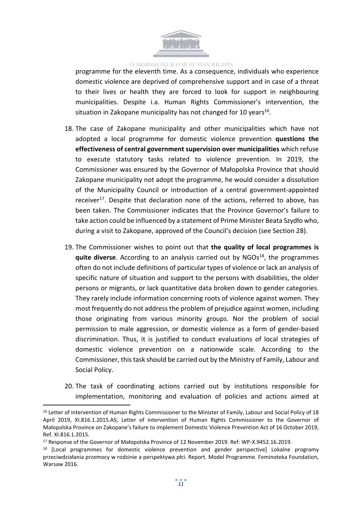

programme for the eleventh time. As a consequence, individuals who experience domestic violence are deprived of comprehensive support and in case of a threat to their lives or health they are forced to look for support in neighbouring municipalities. Despite i.a. Human Rights Commissioner's intervention, the situation in Zakopane municipality has not changed for 10 years<sup>16</sup>.

- 18. The case of Zakopane municipality and other municipalities which have not adopted a local programme for domestic violence prevention **questions the effectiveness of central government supervision over municipalities** which refuse to execute statutory tasks related to violence prevention. In 2019, the Commissioner was ensured by the Governor of Małopolska Province that should Zakopane municipality not adopt the programme, he would consider a dissolution of the Municipality Council or introduction of a central government-appointed receiver<sup>17</sup>. Despite that declaration none of the actions, referred to above, has been taken. The Commissioner indicates that the Province Governor's failure to take action could be influenced by a statement of Prime Minister Beata Szydło who, during a visit to Zakopane, approved of the Council's decision (see Section 28).
- 19. The Commissioner wishes to point out that **the quality of local programmes is quite diverse**. According to an analysis carried out by NGOs<sup>18</sup>, the programmes often do not include definitions of particular types of violence or lack an analysis of specific nature of situation and support to the persons with disabilities, the older persons or migrants, or lack quantitative data broken down to gender categories. They rarely include information concerning roots of violence against women. They most frequently do not address the problem of prejudice against women, including those originating from various minority groups. Nor the problem of social permission to male aggression, or domestic violence as a form of gender-based discrimination. Thus, it is justified to conduct evaluations of local strategies of domestic violence prevention on a nationwide scale. According to the Commissioner, thistask should be carried out by the Ministry of Family, Labour and Social Policy.
- 20. The task of coordinating actions carried out by institutions responsible for implementation, monitoring and evaluation of policies and actions aimed at

<sup>&</sup>lt;sup>16</sup> Letter of intervention of Human Rights Commissioner to the Minister of Family, Labour and Social Policy of 18 April 2019, XI.816.1.2015.AS; Letter of intervention of Human Rights Commissioner to the Governor of Małopolska Province on Zakopane's failure to implement Domestic Violence Prevention Act of 16 October 2019, Ref. XI.816.1.2015.

<sup>&</sup>lt;sup>17</sup> Response of the Governor of Małopolska Province of 12 November 2019. Ref: WP-X.9452.16.2019.

<sup>&</sup>lt;sup>18</sup> [Local programmes for domestic violence prevention and gender perspective] Lokalne programy przeciwdziałania przemocy w rodzinie a perspektywa płci. Report. Model Programme. Feminoteka Foundation, Warsaw 2016.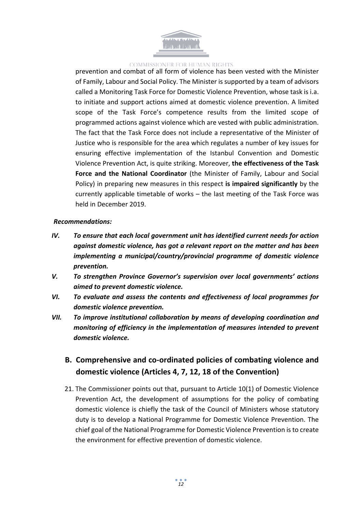

prevention and combat of all form of violence has been vested with the Minister of Family, Labour and Social Policy. The Minister is supported by a team of advisors called a Monitoring Task Force for Domestic Violence Prevention, whose task is i.a. to initiate and support actions aimed at domestic violence prevention. A limited scope of the Task Force's competence results from the limited scope of programmed actions against violence which are vested with public administration. The fact that the Task Force does not include a representative of the Minister of Justice who is responsible for the area which regulates a number of key issues for ensuring effective implementation of the Istanbul Convention and Domestic Violence Prevention Act, is quite striking. Moreover, **the effectiveness of the Task Force and the National Coordinator** (the Minister of Family, Labour and Social Policy) in preparing new measures in this respect **is impaired significantly** by the currently applicable timetable of works – the last meeting of the Task Force was held in December 2019.

#### *Recommendations:*

- *IV. To ensure that each local government unit has identified current needs for action against domestic violence, has got a relevant report on the matter and has been implementing a municipal/country/provincial programme of domestic violence prevention.*
- *V. To strengthen Province Governor's supervision over local governments' actions aimed to prevent domestic violence.*
- *VI. To evaluate and assess the contents and effectiveness of local programmes for domestic violence prevention.*
- *VII. To improve institutional collaboration by means of developing coordination and monitoring of efficiency in the implementation of measures intended to prevent domestic violence.*

# <span id="page-11-0"></span>**B. Comprehensive and co-ordinated policies of combating violence and domestic violence (Articles 4, 7, 12, 18 of the Convention)**

21. The Commissioner points out that, pursuant to Article 10(1) of Domestic Violence Prevention Act, the development of assumptions for the policy of combating domestic violence is chiefly the task of the Council of Ministers whose statutory duty is to develop a National Programme for Domestic Violence Prevention. The chief goal of the National Programme for Domestic Violence Prevention isto create the environment for effective prevention of domestic violence.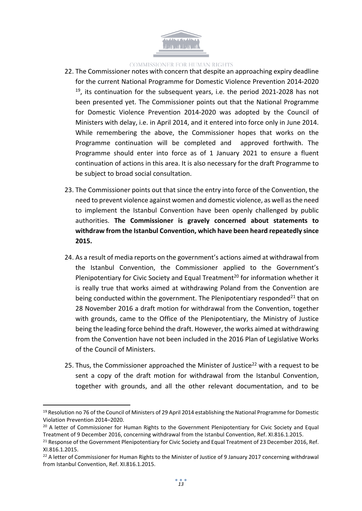

- 22. The Commissioner notes with concern that despite an approaching expiry deadline for the current National Programme for Domestic Violence Prevention 2014-2020 <sup>19</sup>, its continuation for the subsequent years, i.e. the period 2021-2028 has not been presented yet. The Commissioner points out that the National Programme for Domestic Violence Prevention 2014-2020 was adopted by the Council of Ministers with delay, i.e. in April 2014, and it entered into force only in June 2014. While remembering the above, the Commissioner hopes that works on the Programme continuation will be completed and approved forthwith. The Programme should enter into force as of 1 January 2021 to ensure a fluent continuation of actions in this area. It is also necessary for the draft Programme to be subject to broad social consultation.
- 23. The Commissioner points out that since the entry into force of the Convention, the need to prevent violence against women and domestic violence, as well asthe need to implement the Istanbul Convention have been openly challenged by public authorities. **The Commissioner is gravely concerned about statements to withdraw from the Istanbul Convention, which have been heard repeatedly since 2015.**
- 24. As a result of media reports on the government's actions aimed at withdrawal from the Istanbul Convention, the Commissioner applied to the Government's Plenipotentiary for Civic Society and Equal Treatment<sup>20</sup> for information whether it is really true that works aimed at withdrawing Poland from the Convention are being conducted within the government. The Plenipotentiary responded<sup>21</sup> that on 28 November 2016 a draft motion for withdrawal from the Convention, together with grounds, came to the Office of the Plenipotentiary, the Ministry of Justice being the leading force behind the draft. However, the works aimed at withdrawing from the Convention have not been included in the 2016 Plan of Legislative Works of the Council of Ministers.
- 25. Thus, the Commissioner approached the Minister of Justice<sup>22</sup> with a request to be sent a copy of the draft motion for withdrawal from the Istanbul Convention, together with grounds, and all the other relevant documentation, and to be

<sup>&</sup>lt;sup>19</sup> Resolution no 76 of the Council of Ministers of 29 April 2014 establishing the National Programme for Domestic Violation Prevention 2014–2020.

<sup>&</sup>lt;sup>20</sup> A letter of Commissioner for Human Rights to the Government Plenipotentiary for Civic Society and Equal Treatment of 9 December 2016, concerning withdrawal from the Istanbul Convention, Ref. XI.816.1.2015.

<sup>&</sup>lt;sup>21</sup> Response of the Government Plenipotentiary for Civic Society and Equal Treatment of 23 December 2016, Ref. XI.816.1.2015.

<sup>&</sup>lt;sup>22</sup> A letter of Commissioner for Human Rights to the Minister of Justice of 9 January 2017 concerning withdrawal from Istanbul Convention, Ref. XI.816.1.2015.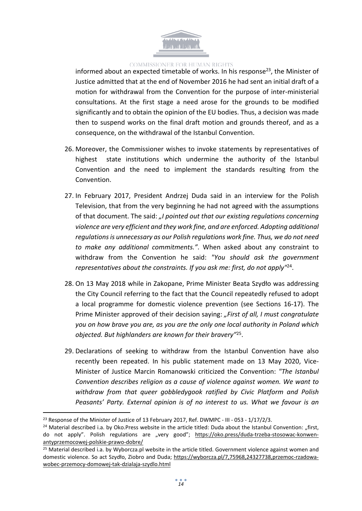

informed about an expected timetable of works. In his response<sup>23</sup>, the Minister of Justice admitted that at the end of November 2016 he had sent an initial draft of a motion for withdrawal from the Convention for the purpose of inter-ministerial consultations. At the first stage a need arose for the grounds to be modified significantly and to obtain the opinion of the EU bodies. Thus, a decision was made then to suspend works on the final draft motion and grounds thereof, and as a consequence, on the withdrawal of the Istanbul Convention.

- 26. Moreover, the Commissioner wishes to invoke statements by representatives of highest state institutions which undermine the authority of the Istanbul Convention and the need to implement the standards resulting from the Convention.
- 27. In February 2017, President Andrzej Duda said in an interview for the Polish Television, that from the very beginning he had not agreed with the assumptions of that document. The said: *"I pointed out that our existing regulations concerning violence are very efficient and they work fine, and are enforced. Adopting additional regulationsis unnecessary as our Polish regulations work fine. Thus, we do not need to make any additional commitments."*. When asked about any constraint to withdraw from the Convention he said: *"You should ask the government representatives about the constraints. If you ask me: first, do not apply"*<sup>24</sup> .
- 28. On 13 May 2018 while in Zakopane, Prime Minister Beata Szydło was addressing the City Council referring to the fact that the Council repeatedly refused to adopt a local programme for domestic violence prevention (see Sections 16-17). The Prime Minister approved of their decision saying: *"First of all, I must congratulate you on how brave you are, as you are the only one local authority in Poland which objected. But highlanders are known for their bravery"*<sup>25</sup> .
- 29. Declarations of seeking to withdraw from the Istanbul Convention have also recently been repeated. In his public statement made on 13 May 2020, Vice-Minister of Justice Marcin Romanowski criticized the Convention: *"The Istanbul Convention describes religion as a cause of violence against women. We want to withdraw from that queer gobbledygook ratified by Civic Platform and Polish Peasants' Party. External opinion is of no interest to us. What we favour is an*

<sup>&</sup>lt;sup>23</sup> Response of the Minister of Justice of 13 February 2017, Ref. DWMPC - III - 053 - 1/17/2/3.

<sup>&</sup>lt;sup>24</sup> Material described i.a. by Oko.Press website in the article titled: Duda about the Istanbul Convention: "first, do not apply". Polish regulations are "very good"; [https://oko.press/duda-trzeba-stosowac-konwen](https://oko.press/duda-trzeba-stosowac-konwen-antyprzemocowej-polskie-prawo-dobre/)[antyprzemocowej-polskie-prawo-dobre/](https://oko.press/duda-trzeba-stosowac-konwen-antyprzemocowej-polskie-prawo-dobre/)

<sup>&</sup>lt;sup>25</sup> Material described i.a. by Wyborcza.pl website in the article titled. Government violence against women and domestic violence. So act Szydło, Ziobro and Duda; [https://wyborcza.pl/7,75968,24327738,przemoc-rzadowa](https://wyborcza.pl/7,75968,24327738,przemoc-rzadowa-wobec-przemocy-domowej-tak-dzialaja-szydlo.html)[wobec-przemocy-domowej-tak-dzialaja-szydlo.html](https://wyborcza.pl/7,75968,24327738,przemoc-rzadowa-wobec-przemocy-domowej-tak-dzialaja-szydlo.html)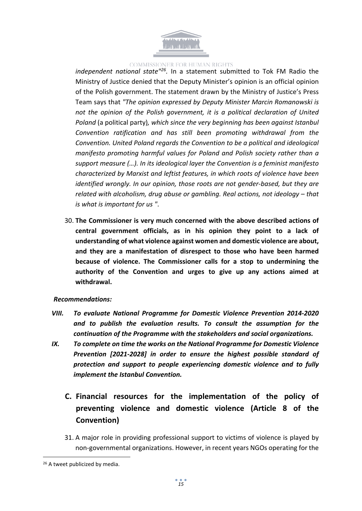

*independent national state"<sup>26</sup> .* In a statement submitted to Tok FM Radio the Ministry of Justice denied that the Deputy Minister's opinion is an official opinion of the Polish government. The statement drawn by the Ministry of Justice's Press Team says that *"The opinion expressed by Deputy Minister Marcin Romanowski is not the opinion of the Polish government, it is a political declaration of United Poland* (a political party)*, which since the very beginning has been against Istanbul Convention ratification and has still been promoting withdrawal from the Convention. United Poland regards the Convention to be a political and ideological manifesto promoting harmful values for Poland and Polish society rather than a support measure (…). In its ideological layer the Convention is a feminist manifesto characterized by Marxist and leftist features, in which roots of violence have been identified wrongly. In our opinion, those roots are not gender-based, but they are related with alcoholism, drug abuse or gambling. Real actions, not ideology – that is what is important for us "*.

30. **The Commissioner is very much concerned with the above described actions of central government officials, as in his opinion they point to a lack of understanding of what violence against women and domestic violence are about, and they are a manifestation of disrespect to those who have been harmed because of violence. The Commissioner calls for a stop to undermining the authority of the Convention and urges to give up any actions aimed at withdrawal.**

### *Recommendations:*

- *VIII. To evaluate National Programme for Domestic Violence Prevention 2014-2020 and to publish the evaluation results. To consult the assumption for the continuation of the Programme with the stakeholders and social organizations.*
- <span id="page-14-0"></span>*IX. To complete on time the works on the National Programme for Domestic Violence Prevention [2021-2028] in order to ensure the highest possible standard of protection and support to people experiencing domestic violence and to fully implement the Istanbul Convention.*
	- **C. Financial resources for the implementation of the policy of preventing violence and domestic violence (Article 8 of the Convention)**
	- 31. A major role in providing professional support to victims of violence is played by non-governmental organizations. However, in recent years NGOs operating for the

<sup>&</sup>lt;sup>26</sup> A tweet publicized by media.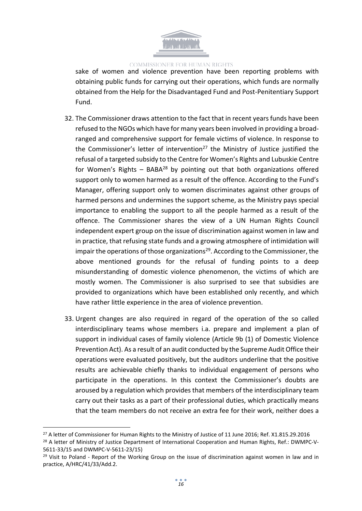

sake of women and violence prevention have been reporting problems with obtaining public funds for carrying out their operations, which funds are normally obtained from the Help for the Disadvantaged Fund and Post-Penitentiary Support Fund.

- 32. The Commissioner draws attention to the fact that in recent years funds have been refused to the NGOs which have for many years been involved in providing a broadranged and comprehensive support for female victims of violence. In response to the Commissioner's letter of intervention<sup>27</sup> the Ministry of Justice justified the refusal of a targeted subsidy to the Centre for Women's Rights and Lubuskie Centre for Women's Rights – BABA<sup>28</sup> by pointing out that both organizations offered support only to women harmed as a result of the offence. According to the Fund's Manager, offering support only to women discriminates against other groups of harmed persons and undermines the support scheme, as the Ministry pays special importance to enabling the support to all the people harmed as a result of the offence. The Commissioner shares the view of a UN Human Rights Council independent expert group on the issue of discrimination against women in law and in practice, that refusing state funds and a growing atmosphere of intimidation will impair the operations of those organizations<sup>29</sup>. According to the Commissioner, the above mentioned grounds for the refusal of funding points to a deep misunderstanding of domestic violence phenomenon, the victims of which are mostly women. The Commissioner is also surprised to see that subsidies are provided to organizations which have been established only recently, and which have rather little experience in the area of violence prevention.
- 33. Urgent changes are also required in regard of the operation of the so called interdisciplinary teams whose members i.a. prepare and implement a plan of support in individual cases of family violence (Article 9b (1) of Domestic Violence Prevention Act). As a result of an audit conducted by the Supreme Audit Office their operations were evaluated positively, but the auditors underline that the positive results are achievable chiefly thanks to individual engagement of persons who participate in the operations. In this context the Commissioner's doubts are aroused by a regulation which provides that members of the interdisciplinary team carry out their tasks as a part of their professional duties, which practically means that the team members do not receive an extra fee for their work, neither does a

<sup>&</sup>lt;sup>27</sup> A letter of Commissioner for Human Rights to the Ministry of Justice of 11 June 2016; Ref. X1.815.29.2016

<sup>&</sup>lt;sup>28</sup> A letter of Ministry of Justice Department of International Cooperation and Human Rights, Ref.: DWMPC-V-5611-33/15 and DWMPC-V-5611-23/15)

 $29$  Visit to Poland - Report of the Working Group on the issue of discrimination against women in law and in practice, A/HRC/41/33/Add.2.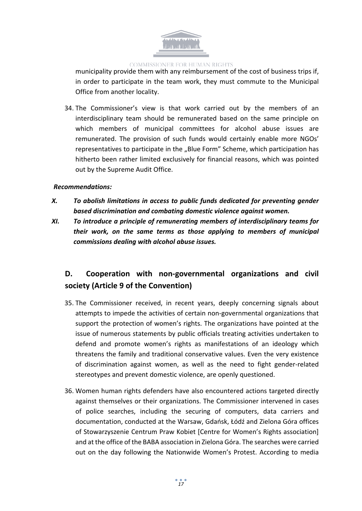

municipality provide them with any reimbursement of the cost of business trips if, in order to participate in the team work, they must commute to the Municipal Office from another locality.

34. The Commissioner's view is that work carried out by the members of an interdisciplinary team should be remunerated based on the same principle on which members of municipal committees for alcohol abuse issues are remunerated. The provision of such funds would certainly enable more NGOs' representatives to participate in the "Blue Form" Scheme, which participation has hitherto been rather limited exclusively for financial reasons, which was pointed out by the Supreme Audit Office.

### *Recommendations:*

- *X. To abolish limitations in access to public funds dedicated for preventing gender based discrimination and combating domestic violence against women.*
- *XI. To introduce a principle of remunerating members of interdisciplinary teams for their work, on the same terms as those applying to members of municipal commissions dealing with alcohol abuse issues.*

# <span id="page-16-0"></span>**D. Cooperation with non-governmental organizations and civil society (Article 9 of the Convention)**

- 35. The Commissioner received, in recent years, deeply concerning signals about attempts to impede the activities of certain non-governmental organizations that support the protection of women's rights. The organizations have pointed at the issue of numerous statements by public officials treating activities undertaken to defend and promote women's rights as manifestations of an ideology which threatens the family and traditional conservative values. Even the very existence of discrimination against women, as well as the need to fight gender-related stereotypes and prevent domestic violence, are openly questioned.
- 36. Women human rights defenders have also encountered actions targeted directly against themselves or their organizations. The Commissioner intervened in cases of police searches, including the securing of computers, data carriers and documentation, conducted at the Warsaw, Gdańsk, Łódź and Zielona Góra offices of Stowarzyszenie Centrum Praw Kobiet [Centre for Women's Rights association] and at the office of the BABA association in Zielona Góra. The searches were carried out on the day following the Nationwide Women's Protest. According to media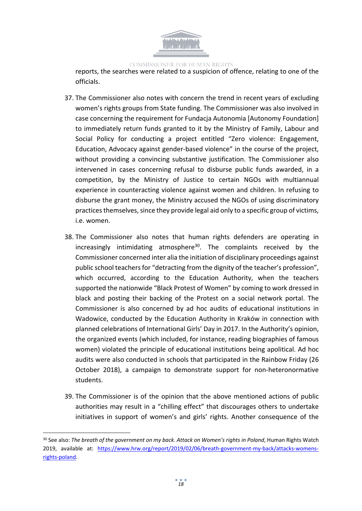

reports, the searches were related to a suspicion of offence, relating to one of the officials.

- 37. The Commissioner also notes with concern the trend in recent years of excluding women's rights groups from State funding. The Commissioner was also involved in case concerning the requirement for Fundacja Autonomia [Autonomy Foundation] to immediately return funds granted to it by the Ministry of Family, Labour and Social Policy for conducting a project entitled "Zero violence: Engagement, Education, Advocacy against gender-based violence" in the course of the project, without providing a convincing substantive justification. The Commissioner also intervened in cases concerning refusal to disburse public funds awarded, in a competition, by the Ministry of Justice to certain NGOs with multiannual experience in counteracting violence against women and children. In refusing to disburse the grant money, the Ministry accused the NGOs of using discriminatory practices themselves, since they provide legal aid only to a specific group of victims, i.e. women.
- 38. The Commissioner also notes that human rights defenders are operating in increasingly intimidating atmosphere<sup>30</sup>. The complaints received by the Commissioner concerned inter alia the initiation of disciplinary proceedings against public school teachers for "detracting from the dignity of the teacher's profession", which occurred, according to the Education Authority, when the teachers supported the nationwide "Black Protest of Women" by coming to work dressed in black and posting their backing of the Protest on a social network portal. The Commissioner is also concerned by ad hoc audits of educational institutions in Wadowice, conducted by the Education Authority in Kraków in connection with planned celebrations of International Girls' Day in 2017. In the Authority's opinion, the organized events (which included, for instance, reading biographies of famous women) violated the principle of educational institutions being apolitical. Ad hoc audits were also conducted in schools that participated in the Rainbow Friday (26 October 2018), a campaign to demonstrate support for non-heteronormative students.
- 39. The Commissioner is of the opinion that the above mentioned actions of public authorities may result in a "chilling effect" that discourages others to undertake initiatives in support of women's and girls' rights. Another consequence of the

<sup>30</sup> See also: *The breath of the government on my back. Attack on Women's rights in Poland*, Human Rights Watch 2019, available at: [https://www.hrw.org/report/2019/02/06/breath-government-my-back/attacks-womens](https://www.hrw.org/report/2019/02/06/breath-government-my-back/attacks-womens-rights-poland)[rights-poland.](https://www.hrw.org/report/2019/02/06/breath-government-my-back/attacks-womens-rights-poland)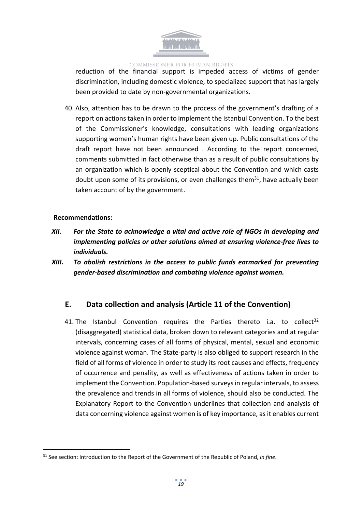

reduction of the financial support is impeded access of victims of gender discrimination, including domestic violence, to specialized support that has largely been provided to date by non-governmental organizations.

40. Also, attention has to be drawn to the process of the government's drafting of a report on actions taken in order to implement the Istanbul Convention. To the best of the Commissioner's knowledge, consultations with leading organizations supporting women's human rights have been given up. Public consultations of the draft report have not been announced . According to the report concerned, comments submitted in fact otherwise than as a result of public consultations by an organization which is openly sceptical about the Convention and which casts doubt upon some of its provisions, or even challenges them<sup>31</sup>, have actually been taken account of by the government.

### **Recommendations:**

- *XII. For the State to acknowledge a vital and active role of NGOs in developing and implementing policies or other solutions aimed at ensuring violence-free lives to individuals.*
- *XIII. To abolish restrictions in the access to public funds earmarked for preventing gender-based discrimination and combating violence against women.*

# <span id="page-18-0"></span>**E. Data collection and analysis (Article 11 of the Convention)**

41. The Istanbul Convention requires the Parties thereto i.a. to collect<sup>32</sup> (disaggregated) statistical data, broken down to relevant categories and at regular intervals, concerning cases of all forms of physical, mental, sexual and economic violence against woman. The State-party is also obliged to support research in the field of all forms of violence in order to study its root causes and effects, frequency of occurrence and penality, as well as effectiveness of actions taken in order to implement the Convention. Population-based surveysin regular intervals, to assess the prevalence and trends in all forms of violence, should also be conducted. The Explanatory Report to the Convention underlines that collection and analysis of data concerning violence against women is of key importance, as it enables current

<sup>31</sup> See section: Introduction to the Report of the Government of the Republic of Poland, *in fine*.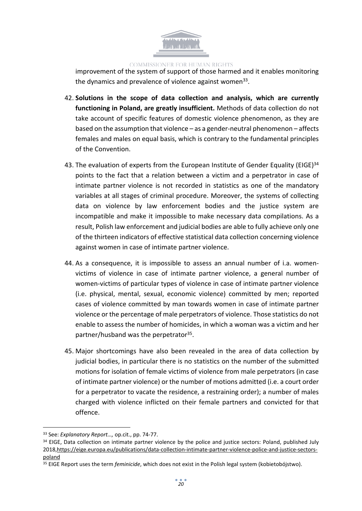

improvement of the system of support of those harmed and it enables monitoring the dynamics and prevalence of violence against women<sup>33</sup>.

- 42. **Solutions in the scope of data collection and analysis, which are currently functioning in Poland, are greatly insufficient.** Methods of data collection do not take account of specific features of domestic violence phenomenon, as they are based on the assumption that violence – as a gender-neutral phenomenon – affects females and males on equal basis, which is contrary to the fundamental principles of the Convention.
- 43. The evaluation of experts from the European Institute of Gender Equality (EIGE)<sup>34</sup> points to the fact that a relation between a victim and a perpetrator in case of intimate partner violence is not recorded in statistics as one of the mandatory variables at all stages of criminal procedure. Moreover, the systems of collecting data on violence by law enforcement bodies and the justice system are incompatible and make it impossible to make necessary data compilations. As a result, Polish law enforcement and judicial bodies are able to fully achieve only one of the thirteen indicators of effective statistical data collection concerning violence against women in case of intimate partner violence.
- 44. As a consequence, it is impossible to assess an annual number of i.a. womenvictims of violence in case of intimate partner violence, a general number of women-victims of particular types of violence in case of intimate partner violence (i.e. physical, mental, sexual, economic violence) committed by men; reported cases of violence committed by man towards women in case of intimate partner violence or the percentage of male perpetrators of violence. Those statistics do not enable to assess the number of homicides, in which a woman was a victim and her partner/husband was the perpetrator<sup>35</sup>.
- 45. Major shortcomings have also been revealed in the area of data collection by judicial bodies, in particular there is no statistics on the number of the submitted motions for isolation of female victims of violence from male perpetrators (in case of intimate partner violence) or the number of motions admitted (i.e. a court order for a perpetrator to vacate the residence, a restraining order); a number of males charged with violence inflicted on their female partners and convicted for that offence.

<sup>33</sup> See: *Explanatory Report…,* op.cit., pp. 74-77.

<sup>&</sup>lt;sup>34</sup> EIGE, Data collection on intimate partner violence by the police and justice sectors: Poland, published July 2018,[https://eige.europa.eu/publications/data-collection-intimate-partner-violence-police-and-justice-sectors](https://eige.europa.eu/publications/data-collection-intimate-partner-violence-police-and-justice-sectors-poland)[poland](https://eige.europa.eu/publications/data-collection-intimate-partner-violence-police-and-justice-sectors-poland)

<sup>35</sup> EIGE Report uses the term *feminicide*, which does not exist in the Polish legal system (kobietobójstwo).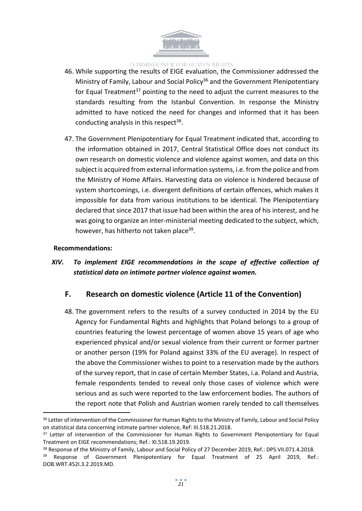

- 46. While supporting the results of EIGE evaluation, the Commissioner addressed the Ministry of Family, Labour and Social Policy<sup>36</sup> and the Government Plenipotentiary for Equal Treatment<sup>37</sup> pointing to the need to adjust the current measures to the standards resulting from the Istanbul Convention. In response the Ministry admitted to have noticed the need for changes and informed that it has been conducting analysis in this respect<sup>38</sup>.
- 47. The Government Plenipotentiary for Equal Treatment indicated that, according to the information obtained in 2017, Central Statistical Office does not conduct its own research on domestic violence and violence against women, and data on this subject is acquired from external information systems, i.e. from the police and from the Ministry of Home Affairs. Harvesting data on violence is hindered because of system shortcomings, i.e. divergent definitions of certain offences, which makes it impossible for data from various institutions to be identical. The Plenipotentiary declared that since 2017 that issue had been within the area of his interest, and he was going to organize an inter-ministerial meeting dedicated to the subject, which, however, has hitherto not taken place<sup>39</sup>.

### **Recommendations:**

# *XIV. To implement EIGE recommendations in the scope of effective collection of statistical data on intimate partner violence against women.*

### <span id="page-20-0"></span>**F. Research on domestic violence (Article 11 of the Convention)**

48. The government refers to the results of a survey conducted in 2014 by the EU Agency for Fundamental Rights and highlights that Poland belongs to a group of countries featuring the lowest percentage of women above 15 years of age who experienced physical and/or sexual violence from their current or former partner or another person (19% for Poland against 33% of the EU average). In respect of the above the Commissioner wishes to point to a reservation made by the authors of the survey report, that in case of certain Member States, i.a. Poland and Austria, female respondents tended to reveal only those cases of violence which were serious and as such were reported to the law enforcement bodies. The authors of the report note that Polish and Austrian women rarely tended to call themselves

<sup>&</sup>lt;sup>36</sup> Letter of intervention of the Commissioner for Human Rights to the Ministry of Family, Labour and Social Policy on statistical data concerning intimate partner violence, Ref: III.518.21.2018.

<sup>&</sup>lt;sup>37</sup> Letter of intervention of the Commissioner for Human Rights to Government Plenipotentiary for Equal Treatment on EIGE recommendations; Ref.: XI.518.19.2019.

<sup>&</sup>lt;sup>38</sup> Response of the Ministry of Family, Labour and Social Policy of 27 December 2019, Ref.: DPS.VII.071.4.2018.

<sup>&</sup>lt;sup>39</sup> Response of Government Plenipotentiary for Equal Treatment of 25 April 2019, Ref.: DOB.WRT.452I.3.2.2019.MD.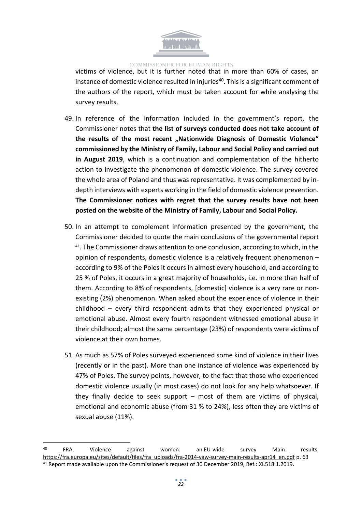

victims of violence, but it is further noted that in more than 60% of cases, an instance of domestic violence resulted in injuries<sup>40</sup>. This is a significant comment of the authors of the report, which must be taken account for while analysing the survey results.

- 49. In reference of the information included in the government's report, the Commissioner notes that **the list of surveys conducted does not take account of the results of the most recent "Nationwide Diagnosis of Domestic Violence" commissioned by the Ministry of Family, Labour and Social Policy and carried out in August 2019**, which is a continuation and complementation of the hitherto action to investigate the phenomenon of domestic violence. The survey covered the whole area of Poland and thus was representative. It was complemented by indepth interviews with experts working in the field of domestic violence prevention. **The Commissioner notices with regret that the survey results have not been posted on the website of the Ministry of Family, Labour and Social Policy.**
- 50. In an attempt to complement information presented by the government, the Commissioner decided to quote the main conclusions of the governmental report 41 . The Commissioner draws attention to one conclusion, according to which, in the opinion of respondents, domestic violence is a relatively frequent phenomenon – according to 9% of the Poles it occurs in almost every household, and according to 25 % of Poles, it occurs in a great majority of households, i.e. in more than half of them. According to 8% of respondents, [domestic] violence is a very rare or nonexisting (2%) phenomenon. When asked about the experience of violence in their childhood – every third respondent admits that they experienced physical or emotional abuse. Almost every fourth respondent witnessed emotional abuse in their childhood; almost the same percentage (23%) of respondents were victims of violence at their own homes.
- 51. As much as 57% of Poles surveyed experienced some kind of violence in their lives (recently or in the past). More than one instance of violence was experienced by 47% of Poles. The survey points, however, to the fact that those who experienced domestic violence usually (in most cases) do not look for any help whatsoever. If they finally decide to seek support – most of them are victims of physical, emotional and economic abuse (from 31 % to 24%), less often they are victims of sexual abuse (11%).

<sup>&</sup>lt;sup>40</sup> FRA, Violence against women: an<code>EU-wide survey Main results, 300</code> [https://fra.europa.eu/sites/default/files/fra\\_uploads/fra-2014-vaw-survey-main-results-apr14\\_en.pdf](https://fra.europa.eu/sites/default/files/fra_uploads/fra-2014-vaw-survey-main-results-apr14_en.pdf) p. 63 <sup>41</sup> Report made available upon the Commissioner's request of 30 December 2019, Ref.: XI.518.1.2019.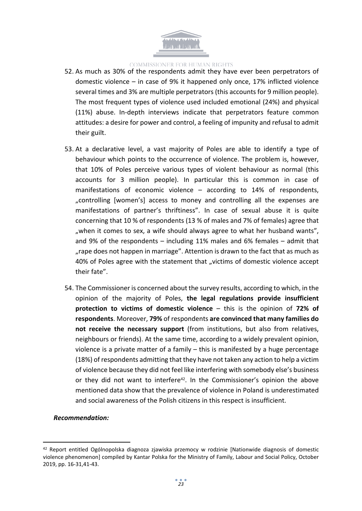

- 52. As much as 30% of the respondents admit they have ever been perpetrators of domestic violence – in case of 9% it happened only once, 17% inflicted violence several times and 3% are multiple perpetrators (this accounts for 9 million people). The most frequent types of violence used included emotional (24%) and physical (11%) abuse. In-depth interviews indicate that perpetrators feature common attitudes: a desire for power and control, a feeling of impunity and refusal to admit their guilt.
- 53. At a declarative level, a vast majority of Poles are able to identify a type of behaviour which points to the occurrence of violence. The problem is, however, that 10% of Poles perceive various types of violent behaviour as normal (this accounts for 3 million people). In particular this is common in case of manifestations of economic violence – according to 14% of respondents, "controlling [women's] access to money and controlling all the expenses are manifestations of partner's thriftiness". In case of sexual abuse it is quite concerning that 10 % of respondents (13 % of males and 7% of females) agree that ", when it comes to sex, a wife should always agree to what her husband wants", and 9% of the respondents – including 11% males and 6% females – admit that "rape does not happen in marriage". Attention is drawn to the fact that as much as 40% of Poles agree with the statement that "victims of domestic violence accept their fate".
- 54. The Commissioner is concerned about the survey results, according to which, in the opinion of the majority of Poles, **the legal regulations provide insufficient protection to victims of domestic violence** – this is the opinion of **72% of respondents**. Moreover, **79%** of respondents **are convinced that many families do not receive the necessary support** (from institutions, but also from relatives, neighbours or friends). At the same time, according to a widely prevalent opinion, violence is a private matter of a family – this is manifested by a huge percentage (18%) of respondents admitting that they have not taken any action to help a victim of violence because they did not feel like interfering with somebody else's business or they did not want to interfere<sup>42</sup>. In the Commissioner's opinion the above mentioned data show that the prevalence of violence in Poland is underestimated and social awareness of the Polish citizens in this respect is insufficient.

### *Recommendation:*

<sup>42</sup> Report entitled Ogólnopolska diagnoza zjawiska przemocy w rodzinie [Nationwide diagnosis of domestic violence phenomenon] compiled by Kantar Polska for the Ministry of Family, Labour and Social Policy, October 2019, pp. 16-31,41-43.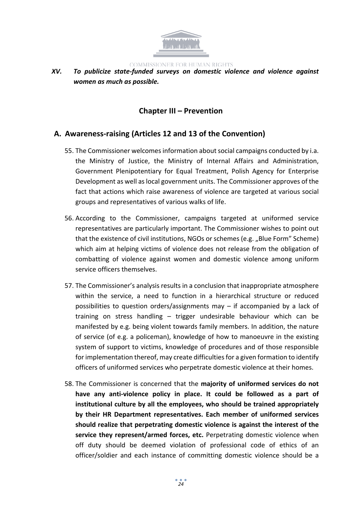

*XV. To publicize state-funded surveys on domestic violence and violence against women as much as possible.*

# <span id="page-23-0"></span>**Chapter III – Prevention**

# <span id="page-23-1"></span>**A. Awareness-raising (Articles 12 and 13 of the Convention)**

- 55. The Commissioner welcomesinformation aboutsocial campaigns conducted by i.a. the Ministry of Justice, the Ministry of Internal Affairs and Administration, Government Plenipotentiary for Equal Treatment, Polish Agency for Enterprise Development as well aslocal government units. The Commissioner approves of the fact that actions which raise awareness of violence are targeted at various social groups and representatives of various walks of life.
- 56. According to the Commissioner, campaigns targeted at uniformed service representatives are particularly important. The Commissioner wishes to point out that the existence of civil institutions, NGOs or schemes (e.g. "Blue Form" Scheme) which aim at helping victims of violence does not release from the obligation of combatting of violence against women and domestic violence among uniform service officers themselves.
- 57. The Commissioner's analysis results in a conclusion that inappropriate atmosphere within the service, a need to function in a hierarchical structure or reduced possibilities to question orders/assignments may – if accompanied by a lack of training on stress handling – trigger undesirable behaviour which can be manifested by e.g. being violent towards family members. In addition, the nature of service (of e.g. a policeman), knowledge of how to manoeuvre in the existing system of support to victims, knowledge of procedures and of those responsible for implementation thereof, may create difficulties for a given formation to identify officers of uniformed services who perpetrate domestic violence at their homes.
- 58. The Commissioner is concerned that the **majority of uniformed services do not have any anti-violence policy in place. It could be followed as a part of institutional culture by all the employees, who should be trained appropriately by their HR Department representatives. Each member of uniformed services should realize that perpetrating domestic violence is against the interest of the service they represent/armed forces, etc.** Perpetrating domestic violence when off duty should be deemed violation of professional code of ethics of an officer/soldier and each instance of committing domestic violence should be a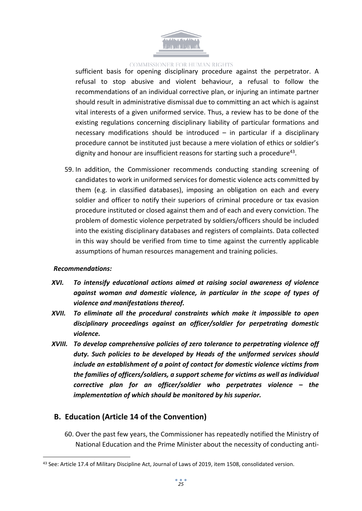

sufficient basis for opening disciplinary procedure against the perpetrator. A refusal to stop abusive and violent behaviour, a refusal to follow the recommendations of an individual corrective plan, or injuring an intimate partner should result in administrative dismissal due to committing an act which is against vital interests of a given uniformed service. Thus, a review has to be done of the existing regulations concerning disciplinary liability of particular formations and necessary modifications should be introduced – in particular if a disciplinary procedure cannot be instituted just because a mere violation of ethics or soldier's dignity and honour are insufficient reasons for starting such a procedure<sup>43</sup>.

59. In addition, the Commissioner recommends conducting standing screening of candidates to work in uniformed services for domestic violence acts committed by them (e.g. in classified databases), imposing an obligation on each and every soldier and officer to notify their superiors of criminal procedure or tax evasion procedure instituted or closed against them and of each and every conviction. The problem of domestic violence perpetrated by soldiers/officers should be included into the existing disciplinary databases and registers of complaints. Data collected in this way should be verified from time to time against the currently applicable assumptions of human resources management and training policies.

#### *Recommendations:*

- *XVI. To intensify educational actions aimed at raising social awareness of violence against woman and domestic violence, in particular in the scope of types of violence and manifestations thereof.*
- *XVII. To eliminate all the procedural constraints which make it impossible to open disciplinary proceedings against an officer/soldier for perpetrating domestic violence.*
- *XVIII. To develop comprehensive policies of zero tolerance to perpetrating violence off duty. Such policies to be developed by Heads of the uniformed services should include an establishment of a point of contact for domestic violence victims from the families of officers/soldiers, a support scheme for victims as well as individual corrective plan for an officer/soldier who perpetrates violence – the implementation of which should be monitored by his superior.*

# <span id="page-24-0"></span>**B. Education (Article 14 of the Convention)**

60. Over the past few years, the Commissioner has repeatedly notified the Ministry of National Education and the Prime Minister about the necessity of conducting anti-

<sup>43</sup> See: Article 17.4 of Military Discipline Act, Journal of Laws of 2019, item 1508, consolidated version.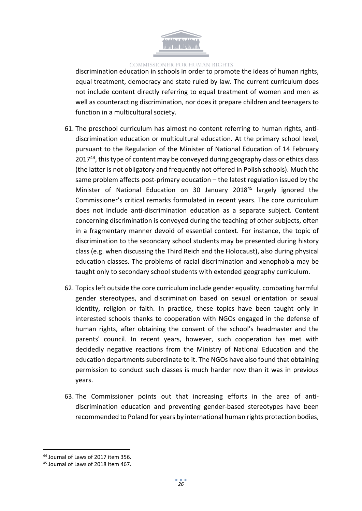

discrimination education in schools in order to promote the ideas of human rights, equal treatment, democracy and state ruled by law. The current curriculum does not include content directly referring to equal treatment of women and men as well as counteracting discrimination, nor does it prepare children and teenagers to function in a multicultural society.

- 61. The preschool curriculum has almost no content referring to human rights, antidiscrimination education or multicultural education. At the primary school level, pursuant to the Regulation of the Minister of National Education of 14 February 2017<sup>44</sup>, this type of content may be conveyed during geography class or ethics class (the latter is not obligatory and frequently not offered in Polish schools). Much the same problem affects post-primary education – the latest regulation issued by the Minister of National Education on 30 January 2018<sup>45</sup> largely ignored the Commissioner's critical remarks formulated in recent years. The core curriculum does not include anti-discrimination education as a separate subject. Content concerning discrimination is conveyed during the teaching of other subjects, often in a fragmentary manner devoid of essential context. For instance, the topic of discrimination to the secondary school students may be presented during history class (e.g. when discussing the Third Reich and the Holocaust), also during physical education classes. The problems of racial discrimination and xenophobia may be taught only to secondary school students with extended geography curriculum.
- 62. Topics left outside the core curriculum include gender equality, combating harmful gender stereotypes, and discrimination based on sexual orientation or sexual identity, religion or faith. In practice, these topics have been taught only in interested schools thanks to cooperation with NGOs engaged in the defense of human rights, after obtaining the consent of the school's headmaster and the parents' council. In recent years, however, such cooperation has met with decidedly negative reactions from the Ministry of National Education and the education departments subordinate to it. The NGOs have also found that obtaining permission to conduct such classes is much harder now than it was in previous years.
- 63. The Commissioner points out that increasing efforts in the area of antidiscrimination education and preventing gender-based stereotypes have been recommended to Poland for years by international human rights protection bodies,

<sup>44</sup> Journal of Laws of 2017 item 356.

<sup>45</sup> Journal of Laws of 2018 item 467.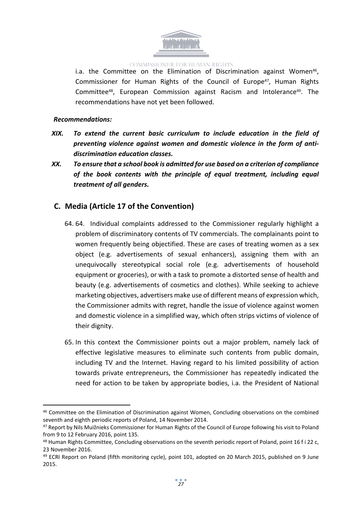

i.a. the Committee on the Elimination of Discrimination against Women<sup>46</sup>, Commissioner for Human Rights of the Council of Europe<sup>47</sup>, Human Rights Committee<sup>48</sup>, European Commission against Racism and Intolerance<sup>49</sup>. The recommendations have not yet been followed.

### *Recommendations:*

- *XIX. To extend the current basic curriculum to include education in the field of preventing violence against women and domestic violence in the form of antidiscrimination education classes.*
- *XX. To ensure that a school book is admitted for use based on a criterion of compliance of the book contents with the principle of equal treatment, including equal treatment of all genders.*

# <span id="page-26-0"></span>**C. Media (Article 17 of the Convention)**

- 64. 64. Individual complaints addressed to the Commissioner regularly highlight a problem of discriminatory contents of TV commercials. The complainants point to women frequently being objectified. These are cases of treating women as a sex object (e.g. advertisements of sexual enhancers), assigning them with an unequivocally stereotypical social role (e.g. advertisements of household equipment or groceries), or with a task to promote a distorted sense of health and beauty (e.g. advertisements of cosmetics and clothes). While seeking to achieve marketing objectives, advertisers make use of different means of expression which, the Commissioner admits with regret, handle the issue of violence against women and domestic violence in a simplified way, which often strips victims of violence of their dignity.
- 65. In this context the Commissioner points out a major problem, namely lack of effective legislative measures to eliminate such contents from public domain, including TV and the Internet. Having regard to his limited possibility of action towards private entrepreneurs, the Commissioner has repeatedly indicated the need for action to be taken by appropriate bodies, i.a. the President of National

<sup>46</sup> Committee on the Elimination of Discrimination against Women, Concluding observations on the combined seventh and eighth periodic reports of Poland, 14 November 2014.

<sup>&</sup>lt;sup>47</sup> Report by Nils Muižnieks Commissioner for Human Rights of the Council of Europe following his visit to Poland from 9 to 12 February 2016, point 135.

<sup>&</sup>lt;sup>48</sup> Human Rights Committee, Concluding observations on the seventh periodic report of Poland, point 16 f i 22 c, 23 November 2016.

<sup>49</sup> ECRI Report on Poland (fifth monitoring cycle), point 101, adopted on 20 March 2015, published on 9 June 2015.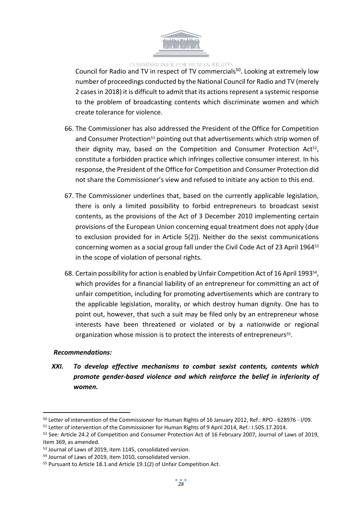

Council for Radio and TV in respect of TV commercials<sup>50</sup>. Looking at extremely low number of proceedings conducted by the National Council for Radio and TV (merely 2 casesin 2018) it is difficult to admit that its actionsrepresent a systemic response to the problem of broadcasting contents which discriminate women and which create tolerance for violence.

- 66. The Commissioner has also addressed the President of the Office for Competition and Consumer Protection<sup>51</sup> pointing out that advertisements which strip women of their dignity may, based on the Competition and Consumer Protection Act<sup>52</sup>, constitute a forbidden practice which infringes collective consumer interest. In his response, the President of the Office for Competition and Consumer Protection did not share the Commissioner's view and refused to initiate any action to this end.
- 67. The Commissioner underlines that, based on the currently applicable legislation, there is only a limited possibility to forbid entrepreneurs to broadcast sexist contents, as the provisions of the Act of 3 December 2010 implementing certain provisions of the European Union concerning equal treatment does not apply (due to exclusion provided for in Article 5(2)). Neither do the sexist communications concerning women as a social group fall under the Civil Code Act of 23 April 1964<sup>53</sup> in the scope of violation of personal rights.
- 68. Certain possibility for action is enabled by Unfair Competition Act of 16 April 1993<sup>54</sup>, which provides for a financial liability of an entrepreneur for committing an act of unfair competition, including for promoting advertisements which are contrary to the applicable legislation, morality, or which destroy human dignity. One has to point out, however, that such a suit may be filed only by an entrepreneur whose interests have been threatened or violated or by a nationwide or regional organization whose mission is to protect the interests of entrepreneurs<sup>55</sup>.

### *Recommendations:*

*XXI. To develop effective mechanisms to combat sexist contents, contents which promote gender-based violence and which reinforce the belief in inferiority of women.*

<sup>50</sup> Letter of intervention of the Commissioner for Human Rights of 16 January 2012, Ref.: RPO - 628976 - I/09.

<sup>51</sup> Letter of intervention of the Commissioner for Human Rights of 9 April 2014, Ref.: I.505.17.2014.

<sup>&</sup>lt;sup>52</sup> See: Article 24.2 of Competition and Consumer Protection Act of 16 February 2007, Journal of Laws of 2019, item 369, as amended.

<sup>53</sup> Journal of Laws of 2019, item 1145, consolidated version.

<sup>54</sup> Journal of Laws of 2019, item 1010, consolidated version.

<sup>55</sup> Pursuant to Article 18.1 and Article 19.1(2) of Unfair Competition Act.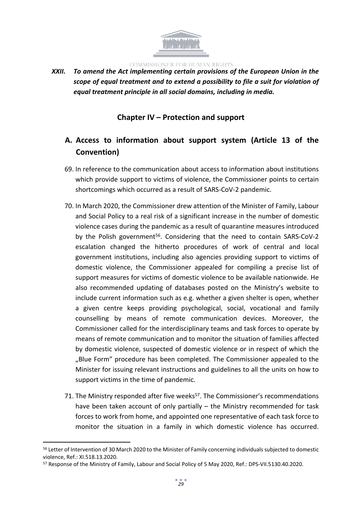

*XXII. To amend the Act implementing certain provisions of the European Union in the scope of equal treatment and to extend a possibility to file a suit for violation of equal treatment principle in all social domains, including in media.*

# <span id="page-28-0"></span>**Chapter IV – Protection and support**

# <span id="page-28-1"></span>**A. Access to information about support system (Article 13 of the Convention)**

- 69. In reference to the communication about access to information about institutions which provide support to victims of violence, the Commissioner points to certain shortcomings which occurred as a result of SARS-CoV-2 pandemic.
- 70. In March 2020, the Commissioner drew attention of the Minister of Family, Labour and Social Policy to a real risk of a significant increase in the number of domestic violence cases during the pandemic as a result of quarantine measures introduced by the Polish government<sup>56</sup>. Considering that the need to contain SARS-CoV-2 escalation changed the hitherto procedures of work of central and local government institutions, including also agencies providing support to victims of domestic violence, the Commissioner appealed for compiling a precise list of support measures for victims of domestic violence to be available nationwide. He also recommended updating of databases posted on the Ministry's website to include current information such as e.g. whether a given shelter is open, whether a given centre keeps providing psychological, social, vocational and family counselling by means of remote communication devices. Moreover, the Commissioner called for the interdisciplinary teams and task forces to operate by means of remote communication and to monitor the situation of families affected by domestic violence, suspected of domestic violence or in respect of which the "Blue Form" procedure has been completed. The Commissioner appealed to the Minister for issuing relevant instructions and guidelines to all the units on how to support victims in the time of pandemic.
- 71. The Ministry responded after five weeks<sup>57</sup>. The Commissioner's recommendations have been taken account of only partially – the Ministry recommended for task forces to work from home, and appointed one representative of each task force to monitor the situation in a family in which domestic violence has occurred.

<sup>&</sup>lt;sup>56</sup> Letter of Intervention of 30 March 2020 to the Minister of Family concerning individuals subjected to domestic violence, Ref.: XI.518.13.2020.

<sup>57</sup> Response of the Ministry of Family, Labour and Social Policy of 5 May 2020, Ref.: DPS-VII.5130.40.2020.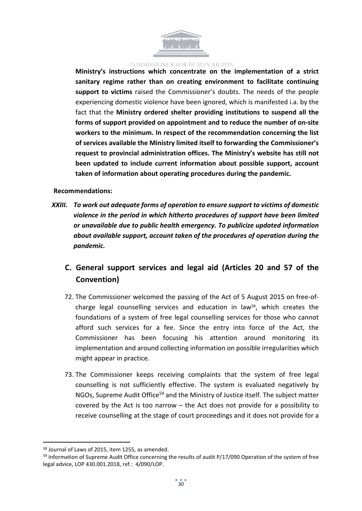

**Ministry's instructions which concentrate on the implementation of a strict sanitary regime rather than on creating environment to facilitate continuing support to victims** raised the Commissioner's doubts. The needs of the people experiencing domestic violence have been ignored, which is manifested i.a. by the fact that the **Ministry ordered shelter providing institutions to suspend all the forms of support provided on appointment and to reduce the number of on-site workers to the minimum. In respect of the recommendation concerning the list of services available the Ministry limited itself to forwarding the Commissioner's request to provincial administration offices. The Ministry's website has still not been updated to include current information about possible support, account taken of information about operating procedures during the pandemic.** 

#### **Recommendations:**

*XXIII. To work out adequate forms of operation to ensure support to victims of domestic violence in the period in which hitherto procedures of support have been limited or unavailable due to public health emergency. To publicize updated information about available support, account taken of the procedures of operation during the pandemic.*

# <span id="page-29-0"></span>**C. General support services and legal aid (Articles 20 and 57 of the Convention)**

- 72. The Commissioner welcomed the passing of the Act of 5 August 2015 on free-ofcharge legal counselling services and education in law<sup>58</sup>, which creates the foundations of a system of free legal counselling services for those who cannot afford such services for a fee. Since the entry into force of the Act, the Commissioner has been focusing his attention around monitoring its implementation and around collecting information on possible irregularities which might appear in practice.
- 73. The Commissioner keeps receiving complaints that the system of free legal counselling is not sufficiently effective. The system is evaluated negatively by NGOs, Supreme Audit Office<sup>59</sup> and the Ministry of Justice itself. The subject matter covered by the Act is too narrow – the Act does not provide for a possibility to receive counselling at the stage of court proceedings and it does not provide for a

<sup>58</sup> Journal of Laws of 2015, item 1255, as amended.

<sup>&</sup>lt;sup>59</sup> Information of Supreme Audit Office concerning the results of audit P/17/090 Operation of the system of free legal advice, LOP 430.001.2018, ref.: 4/090/LOP.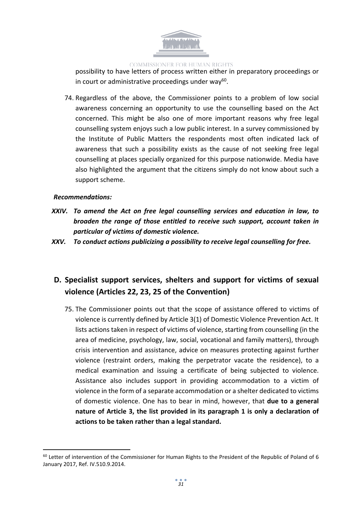

possibility to have letters of process written either in preparatory proceedings or in court or administrative proceedings under way<sup>60</sup>.

74. Regardless of the above, the Commissioner points to a problem of low social awareness concerning an opportunity to use the counselling based on the Act concerned. This might be also one of more important reasons why free legal counselling system enjoys such a low public interest. In a survey commissioned by the Institute of Public Matters the respondents most often indicated lack of awareness that such a possibility exists as the cause of not seeking free legal counselling at places specially organized for this purpose nationwide. Media have also highlighted the argument that the citizens simply do not know about such a support scheme.

### *Recommendations:*

- *XXIV. To amend the Act on free legal counselling services and education in law, to broaden the range of those entitled to receive such support, account taken in particular of victims of domestic violence.*
- *XXV. To conduct actions publicizing a possibility to receive legal counselling for free.*

# <span id="page-30-0"></span>**D. Specialist support services, shelters and support for victims of sexual violence (Articles 22, 23, 25 of the Convention)**

75. The Commissioner points out that the scope of assistance offered to victims of violence is currently defined by Article 3(1) of Domestic Violence Prevention Act. It lists actions taken in respect of victims of violence, starting from counselling (in the area of medicine, psychology, law, social, vocational and family matters), through crisis intervention and assistance, advice on measures protecting against further violence (restraint orders, making the perpetrator vacate the residence), to a medical examination and issuing a certificate of being subjected to violence. Assistance also includes support in providing accommodation to a victim of violence in the form of a separate accommodation or a shelter dedicated to victims of domestic violence. One has to bear in mind, however, that **due to a general nature of Article 3, the list provided in its paragraph 1 is only a declaration of actions to be taken rather than a legal standard.**

<sup>&</sup>lt;sup>60</sup> Letter of intervention of the Commissioner for Human Rights to the President of the Republic of Poland of 6 January 2017, Ref. IV.510.9.2014.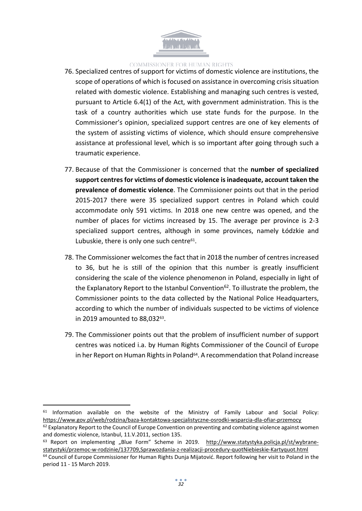

- 76. Specialized centres of support for victims of domestic violence are institutions, the scope of operations of which is focused on assistance in overcoming crisis situation related with domestic violence. Establishing and managing such centres is vested, pursuant to Article 6.4(1) of the Act, with government administration. This is the task of a country authorities which use state funds for the purpose. In the Commissioner's opinion, specialized support centres are one of key elements of the system of assisting victims of violence, which should ensure comprehensive assistance at professional level, which is so important after going through such a traumatic experience.
- 77. Because of that the Commissioner is concerned that the **number of specialized support centresfor victims of domestic violence isinadequate, account taken the prevalence of domestic violence**. The Commissioner points out that in the period 2015-2017 there were 35 specialized support centres in Poland which could accommodate only 591 victims. In 2018 one new centre was opened, and the number of places for victims increased by 15. The average per province is 2-3 specialized support centres, although in some provinces, namely Łódzkie and Lubuskie, there is only one such centre<sup>61</sup>.
- 78. The Commissioner welcomes the fact that in 2018 the number of centres increased to 36, but he is still of the opinion that this number is greatly insufficient considering the scale of the violence phenomenon in Poland, especially in light of the Explanatory Report to the Istanbul Convention<sup>62</sup>. To illustrate the problem, the Commissioner points to the data collected by the National Police Headquarters, according to which the number of individuals suspected to be victims of violence in 2019 amounted to 88,032<sup>63</sup>.
- 79. The Commissioner points out that the problem of insufficient number of support centres was noticed i.a. by Human Rights Commissioner of the Council of Europe in her Report on Human Rights in Poland<sup>64</sup>. A recommendation that Poland increase

<sup>&</sup>lt;sup>61</sup> Information available on the website of the Ministry of Family Labour and Social Policy: <https://www.gov.pl/web/rodzina/baza-kontaktowa-specjalistyczne-osrodki-wsparcia-dla-ofiar-przemocy>

 $62$  Explanatory Report to the Council of Europe Convention on preventing and combating violence against women and domestic violence, Istanbul, 11.V.2011, section 135.

<sup>63</sup> Report on implementing "Blue Form" Scheme in 2019. [http://www.statystyka.policja.pl/st/wybrane](http://www.statystyka.policja.pl/st/wybrane-statystyki/przemoc-w-rodzinie/137709,Sprawozdania-z-realizacji-procedury-quotNiebieskie-Kartyquot.html)[statystyki/przemoc-w-rodzinie/137709,Sprawozdania-z-realizacji-procedury-quotNiebieskie-Kartyquot.html](http://www.statystyka.policja.pl/st/wybrane-statystyki/przemoc-w-rodzinie/137709,Sprawozdania-z-realizacji-procedury-quotNiebieskie-Kartyquot.html)

<sup>64</sup> Council of Europe Commissioner for Human Rights Dunja Mijatović. Report following her visit to Poland in the period 11 - 15 March 2019.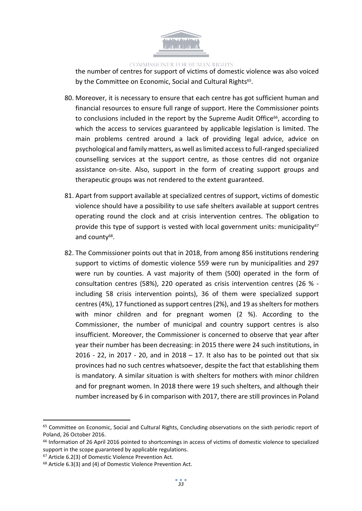

the number of centres for support of victims of domestic violence was also voiced by the Committee on Economic, Social and Cultural Rights<sup>65</sup>.

- 80. Moreover, it is necessary to ensure that each centre has got sufficient human and financial resources to ensure full range of support. Here the Commissioner points to conclusions included in the report by the Supreme Audit Office<sup>66</sup>, according to which the access to services guaranteed by applicable legislation is limited. The main problems centred around a lack of providing legal advice, advice on psychological and family matters, as well aslimited accessto full-ranged specialized counselling services at the support centre, as those centres did not organize assistance on-site. Also, support in the form of creating support groups and therapeutic groups was not rendered to the extent guaranteed.
- 81. Apart from support available at specialized centres of support, victims of domestic violence should have a possibility to use safe shelters available at support centres operating round the clock and at crisis intervention centres. The obligation to provide this type of support is vested with local government units: municipality $67$ and county<sup>68</sup>.
- 82. The Commissioner points out that in 2018, from among 856 institutions rendering support to victims of domestic violence 559 were run by municipalities and 297 were run by counties. A vast majority of them (500) operated in the form of consultation centres (58%), 220 operated as crisis intervention centres (26 % including 58 crisis intervention points), 36 of them were specialized support centres (4%), 17 functioned as support centres (2%), and 19 as shelters for mothers with minor children and for pregnant women (2 %). According to the Commissioner, the number of municipal and country support centres is also insufficient. Moreover, the Commissioner is concerned to observe that year after year their number has been decreasing: in 2015 there were 24 such institutions, in 2016 - 22, in 2017 - 20, and in 2018 - 17. It also has to be pointed out that six provinces had no such centres whatsoever, despite the fact that establishing them is mandatory. A similar situation is with shelters for mothers with minor children and for pregnant women. In 2018 there were 19 such shelters, and although their number increased by 6 in comparison with 2017, there are still provinces in Poland

<sup>65</sup> Committee on Economic, Social and Cultural Rights, Concluding observations on the sixth periodic report of Poland, 26 October 2016.

<sup>&</sup>lt;sup>66</sup> Information of 26 April 2016 pointed to shortcomings in access of victims of domestic violence to specialized support in the scope guaranteed by applicable regulations.

<sup>67</sup> Article 6.2(3) of Domestic Violence Prevention Act.

<sup>68</sup> Article 6.3(3) and (4) of Domestic Violence Prevention Act.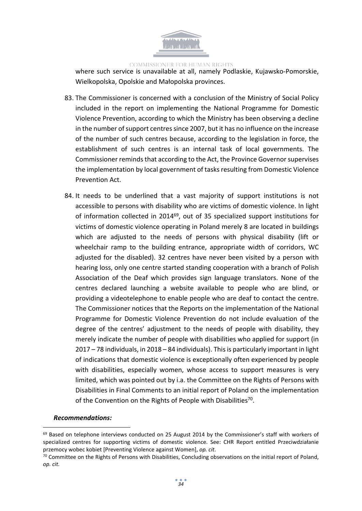

where such service is unavailable at all, namely Podlaskie, Kujawsko-Pomorskie, Wielkopolska, Opolskie and Małopolska provinces.

- 83. The Commissioner is concerned with a conclusion of the Ministry of Social Policy included in the report on implementing the National Programme for Domestic Violence Prevention, according to which the Ministry has been observing a decline in the number of support centres since 2007, but it has no influence on the increase of the number of such centres because, according to the legislation in force, the establishment of such centres is an internal task of local governments. The Commissioner reminds that according to the Act, the Province Governor supervises the implementation by local government of tasks resulting from Domestic Violence Prevention Act.
- 84. It needs to be underlined that a vast majority of support institutions is not accessible to persons with disability who are victims of domestic violence. In light of information collected in 2014<sup>69</sup>, out of 35 specialized support institutions for victims of domestic violence operating in Poland merely 8 are located in buildings which are adjusted to the needs of persons with physical disability (lift or wheelchair ramp to the building entrance, appropriate width of corridors, WC adjusted for the disabled). 32 centres have never been visited by a person with hearing loss, only one centre started standing cooperation with a branch of Polish Association of the Deaf which provides sign language translators. None of the centres declared launching a website available to people who are blind, or providing a videotelephone to enable people who are deaf to contact the centre. The Commissioner notices that the Reports on the implementation of the National Programme for Domestic Violence Prevention do not include evaluation of the degree of the centres' adjustment to the needs of people with disability, they merely indicate the number of people with disabilities who applied for support (in 2017 – 78 individuals, in 2018 – 84 individuals). Thisis particularly important in light of indications that domestic violence is exceptionally often experienced by people with disabilities, especially women, whose access to support measures is very limited, which was pointed out by i.a. the Committee on the Rights of Persons with Disabilities in Final Comments to an initial report of Poland on the implementation of the Convention on the Rights of People with Disabilities<sup>70</sup>.

### *Recommendations:*

 $69$  Based on telephone interviews conducted on 25 August 2014 by the Commissioner's staff with workers of specialized centres for supporting victims of domestic violence. See: CHR Report entitled Przeciwdziałanie przemocy wobec kobiet [Preventing Violence against Women], *op. cit*.

 $70$  Committee on the Rights of Persons with Disabilities, Concluding observations on the initial report of Poland, *op. cit.*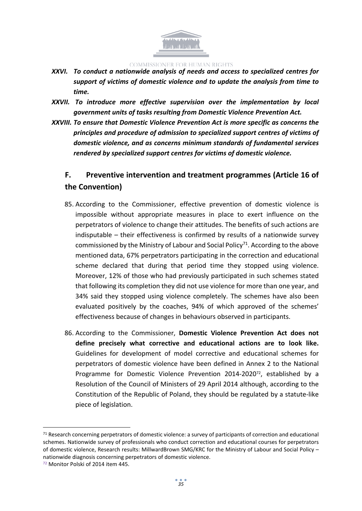

- *XXVI. To conduct a nationwide analysis of needs and access to specialized centres for support of victims of domestic violence and to update the analysis from time to time.*
- *XXVII. To introduce more effective supervision over the implementation by local government units of tasks resulting from Domestic Violence Prevention Act.*
- *XXVIII. To ensure that Domestic Violence Prevention Act is more specific as concerns the principles and procedure of admission to specialized support centres of victims of domestic violence, and as concerns minimum standards of fundamental services rendered by specialized support centres for victims of domestic violence.*

# <span id="page-34-0"></span>**F. Preventive intervention and treatment programmes (Article 16 of the Convention)**

- 85. According to the Commissioner, effective prevention of domestic violence is impossible without appropriate measures in place to exert influence on the perpetrators of violence to change their attitudes. The benefits of such actions are indisputable – their effectiveness is confirmed by results of a nationwide survey commissioned by the Ministry of Labour and Social Policy<sup>71</sup>. According to the above mentioned data, 67% perpetrators participating in the correction and educational scheme declared that during that period time they stopped using violence. Moreover, 12% of those who had previously participated in such schemes stated that following its completion they did not use violence for more than one year, and 34% said they stopped using violence completely. The schemes have also been evaluated positively by the coaches, 94% of which approved of the schemes' effectiveness because of changes in behaviours observed in participants.
- 86. According to the Commissioner, **Domestic Violence Prevention Act does not define precisely what corrective and educational actions are to look like.** Guidelines for development of model corrective and educational schemes for perpetrators of domestic violence have been defined in Annex 2 to the National Programme for Domestic Violence Prevention 2014-2020<sup>72</sup>, established by a Resolution of the Council of Ministers of 29 April 2014 although, according to the Constitution of the Republic of Poland, they should be regulated by a statute-like piece of legislation.

 $71$  Research concerning perpetrators of domestic violence: a survey of participants of correction and educational schemes. Nationwide survey of professionals who conduct correction and educational courses for perpetrators of domestic violence, Research results: MillwardBrown SMG/KRC for the Ministry of Labour and Social Policy – nationwide diagnosis concerning perpetrators of domestic violence.

<sup>72</sup> Monitor Polski of 2014 item 445.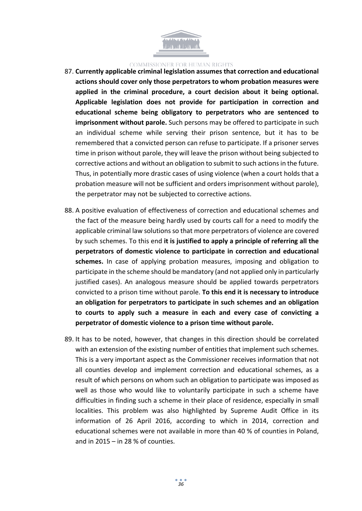

- 87. **Currently applicable criminal legislation assumes that correction and educational actions should cover only those perpetrators to whom probation measures were applied in the criminal procedure, a court decision about it being optional. Applicable legislation does not provide for participation in correction and educational scheme being obligatory to perpetrators who are sentenced to imprisonment without parole.** Such persons may be offered to participate in such an individual scheme while serving their prison sentence, but it has to be remembered that a convicted person can refuse to participate. If a prisoner serves time in prison without parole, they will leave the prison without being subjected to corrective actions and without an obligation to submit to such actionsin the future. Thus, in potentially more drastic cases of using violence (when a court holds that a probation measure will not be sufficient and orders imprisonment without parole), the perpetrator may not be subjected to corrective actions.
- 88. A positive evaluation of effectiveness of correction and educational schemes and the fact of the measure being hardly used by courts call for a need to modify the applicable criminal law solutions so that more perpetrators of violence are covered by such schemes. To this end **it is justified to apply a principle of referring all the perpetrators of domestic violence to participate in correction and educational schemes.** In case of applying probation measures, imposing and obligation to participate in the scheme should be mandatory (and not applied only in particularly justified cases). An analogous measure should be applied towards perpetrators convicted to a prison time without parole. **To this end it is necessary to introduce an obligation for perpetrators to participate in such schemes and an obligation to courts to apply such a measure in each and every case of convicting a perpetrator of domestic violence to a prison time without parole.**
- 89. It has to be noted, however, that changes in this direction should be correlated with an extension of the existing number of entities that implement such schemes. This is a very important aspect as the Commissioner receives information that not all counties develop and implement correction and educational schemes, as a result of which persons on whom such an obligation to participate was imposed as well as those who would like to voluntarily participate in such a scheme have difficulties in finding such a scheme in their place of residence, especially in small localities. This problem was also highlighted by Supreme Audit Office in its information of 26 April 2016, according to which in 2014, correction and educational schemes were not available in more than 40 % of counties in Poland, and in 2015 – in 28 % of counties.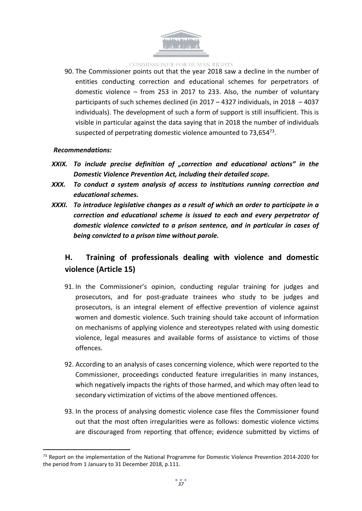

90. The Commissioner points out that the year 2018 saw a decline in the number of entities conducting correction and educational schemes for perpetrators of domestic violence – from 253 in 2017 to 233. Also, the number of voluntary participants of such schemes declined (in 2017 – 4327 individuals, in 2018 – 4037 individuals). The development of such a form of support is still insufficient. This is visible in particular against the data saying that in 2018 the number of individuals suspected of perpetrating domestic violence amounted to 73,65473.

### *Recommendations:*

- *XXIX. To include precise definition of "correction and educational actions" in the Domestic Violence Prevention Act, including their detailed scope.*
- *XXX. To conduct a system analysis of access to institutions running correction and educational schemes.*
- *XXXI. To introduce legislative changes as a result of which an order to participate in a correction and educational scheme is issued to each and every perpetrator of domestic violence convicted to a prison sentence, and in particular in cases of being convicted to a prison time without parole.*

# <span id="page-36-0"></span>**H. Training of professionals dealing with violence and domestic violence (Article 15)**

- 91. In the Commissioner's opinion, conducting regular training for judges and prosecutors, and for post-graduate trainees who study to be judges and prosecutors, is an integral element of effective prevention of violence against women and domestic violence. Such training should take account of information on mechanisms of applying violence and stereotypes related with using domestic violence, legal measures and available forms of assistance to victims of those offences.
- 92. According to an analysis of cases concerning violence, which were reported to the Commissioner, proceedings conducted feature irregularities in many instances, which negatively impacts the rights of those harmed, and which may often lead to secondary victimization of victims of the above mentioned offences.
- 93. In the process of analysing domestic violence case files the Commissioner found out that the most often irregularities were as follows: domestic violence victims are discouraged from reporting that offence; evidence submitted by victims of

<sup>&</sup>lt;sup>73</sup> Report on the implementation of the National Programme for Domestic Violence Prevention 2014-2020 for the period from 1 January to 31 December 2018, p.111.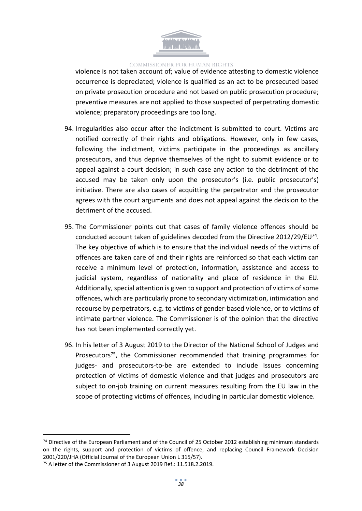

violence is not taken account of; value of evidence attesting to domestic violence occurrence is depreciated; violence is qualified as an act to be prosecuted based on private prosecution procedure and not based on public prosecution procedure; preventive measures are not applied to those suspected of perpetrating domestic violence; preparatory proceedings are too long.

- 94. Irregularities also occur after the indictment is submitted to court. Victims are notified correctly of their rights and obligations. However, only in few cases, following the indictment, victims participate in the proceedings as ancillary prosecutors, and thus deprive themselves of the right to submit evidence or to appeal against a court decision; in such case any action to the detriment of the accused may be taken only upon the prosecutor's (i.e. public prosecutor's) initiative. There are also cases of acquitting the perpetrator and the prosecutor agrees with the court arguments and does not appeal against the decision to the detriment of the accused.
- 95. The Commissioner points out that cases of family violence offences should be conducted account taken of guidelines decoded from the Directive 2012/29/EU<sup>74</sup>. The key objective of which is to ensure that the individual needs of the victims of offences are taken care of and their rights are reinforced so that each victim can receive a minimum level of protection, information, assistance and access to judicial system, regardless of nationality and place of residence in the EU. Additionally, special attention is given to support and protection of victims of some offences, which are particularly prone to secondary victimization, intimidation and recourse by perpetrators, e.g. to victims of gender-based violence, or to victims of intimate partner violence. The Commissioner is of the opinion that the directive has not been implemented correctly yet.
- 96. In his letter of 3 August 2019 to the Director of the National School of Judges and Prosecutors<sup>75</sup>, the Commissioner recommended that training programmes for judges- and prosecutors-to-be are extended to include issues concerning protection of victims of domestic violence and that judges and prosecutors are subject to on-job training on current measures resulting from the EU law in the scope of protecting victims of offences, including in particular domestic violence.

<sup>74</sup> Directive of the European Parliament and of the Council of 25 October 2012 establishing minimum standards on the rights, support and protection of victims of offence, and replacing Council Framework Decision 2001/220/JHA (Official Journal of the European Union L 315/57).

<sup>75</sup> A letter of the Commissioner of 3 August 2019 Ref.: 11.518.2.2019.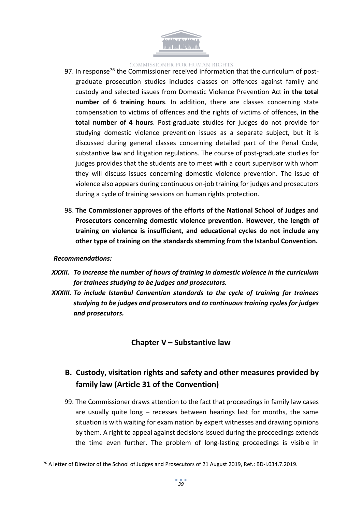

- 97. In response<sup>76</sup> the Commissioner received information that the curriculum of postgraduate prosecution studies includes classes on offences against family and custody and selected issues from Domestic Violence Prevention Act **in the total number of 6 training hours**. In addition, there are classes concerning state compensation to victims of offences and the rights of victims of offences, **in the total number of 4 hours**. Post-graduate studies for judges do not provide for studying domestic violence prevention issues as a separate subject, but it is discussed during general classes concerning detailed part of the Penal Code, substantive law and litigation regulations. The course of post-graduate studies for judges provides that the students are to meet with a court supervisor with whom they will discuss issues concerning domestic violence prevention. The issue of violence also appears during continuous on-job training for judges and prosecutors during a cycle of training sessions on human rights protection.
- 98. **The Commissioner approves of the efforts of the National School of Judges and Prosecutors concerning domestic violence prevention. However, the length of training on violence is insufficient, and educational cycles do not include any other type of training on the standards stemming from the Istanbul Convention.**

#### *Recommendations:*

- *XXXII. To increase the number of hours of training in domestic violence in the curriculum for trainees studying to be judges and prosecutors.*
- *XXXIII. To include Istanbul Convention standards to the cycle of training for trainees studying to be judges and prosecutors and to continuous training cycles for judges and prosecutors.*

# <span id="page-38-0"></span>**Chapter V – Substantive law**

# <span id="page-38-1"></span>**B. Custody, visitation rights and safety and other measures provided by family law (Article 31 of the Convention)**

99. The Commissioner draws attention to the fact that proceedings in family law cases are usually quite long – recesses between hearings last for months, the same situation is with waiting for examination by expert witnesses and drawing opinions by them. A right to appeal against decisions issued during the proceedings extends the time even further. The problem of long-lasting proceedings is visible in

<sup>76</sup> A letter of Director of the School of Judges and Prosecutors of 21 August 2019, Ref.: BD-I.034.7.2019.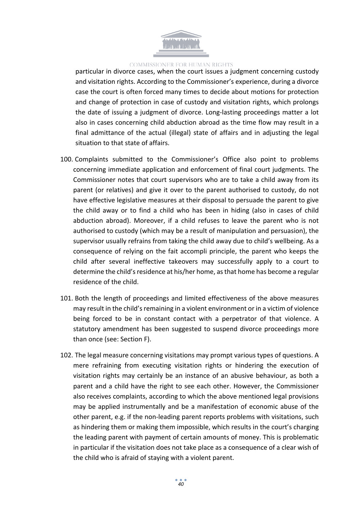

particular in divorce cases, when the court issues a judgment concerning custody and visitation rights. According to the Commissioner's experience, during a divorce case the court is often forced many times to decide about motions for protection and change of protection in case of custody and visitation rights, which prolongs the date of issuing a judgment of divorce. Long-lasting proceedings matter a lot also in cases concerning child abduction abroad as the time flow may result in a final admittance of the actual (illegal) state of affairs and in adjusting the legal situation to that state of affairs.

- 100. Complaints submitted to the Commissioner's Office also point to problems concerning immediate application and enforcement of final court judgments. The Commissioner notes that court supervisors who are to take a child away from its parent (or relatives) and give it over to the parent authorised to custody, do not have effective legislative measures at their disposal to persuade the parent to give the child away or to find a child who has been in hiding (also in cases of child abduction abroad). Moreover, if a child refuses to leave the parent who is not authorised to custody (which may be a result of manipulation and persuasion), the supervisor usually refrains from taking the child away due to child's wellbeing. As a consequence of relying on the fait accompli principle, the parent who keeps the child after several ineffective takeovers may successfully apply to a court to determine the child's residence at his/her home, as that home has become a regular residence of the child.
- 101. Both the length of proceedings and limited effectiveness of the above measures may result in the child's remaining in a violent environment or in a victim of violence being forced to be in constant contact with a perpetrator of that violence. A statutory amendment has been suggested to suspend divorce proceedings more than once (see: Section F).
- 102. The legal measure concerning visitations may prompt various types of questions. A mere refraining from executing visitation rights or hindering the execution of visitation rights may certainly be an instance of an abusive behaviour, as both a parent and a child have the right to see each other. However, the Commissioner also receives complaints, according to which the above mentioned legal provisions may be applied instrumentally and be a manifestation of economic abuse of the other parent, e.g. if the non-leading parent reports problems with visitations, such as hindering them or making them impossible, which results in the court's charging the leading parent with payment of certain amounts of money. This is problematic in particular if the visitation does not take place as a consequence of a clear wish of the child who is afraid of staying with a violent parent.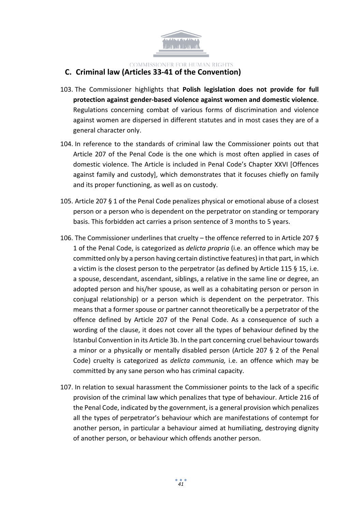

### <span id="page-40-0"></span>**C. Criminal law (Articles 33-41 of the Convention)**

- 103. The Commissioner highlights that **Polish legislation does not provide for full protection against gender-based violence against women and domestic violence**. Regulations concerning combat of various forms of discrimination and violence against women are dispersed in different statutes and in most cases they are of a general character only.
- 104. In reference to the standards of criminal law the Commissioner points out that Article 207 of the Penal Code is the one which is most often applied in cases of domestic violence. The Article is included in Penal Code's Chapter XXVI [Offences against family and custody], which demonstrates that it focuses chiefly on family and its proper functioning, as well as on custody.
- 105. Article 207 § 1 of the Penal Code penalizes physical or emotional abuse of a closest person or a person who is dependent on the perpetrator on standing or temporary basis. This forbidden act carries a prison sentence of 3 months to 5 years.
- 106. The Commissioner underlines that cruelty the offence referred to in Article 207 § 1 of the Penal Code, is categorized as *delicta propria* (i.e. an offence which may be committed only by a person having certain distinctive features) in that part, in which a victim is the closest person to the perpetrator (as defined by Article 115 § 15, i.e. a spouse, descendant, ascendant, siblings, a relative in the same line or degree, an adopted person and his/her spouse, as well as a cohabitating person or person in conjugal relationship) or a person which is dependent on the perpetrator. This means that a former spouse or partner cannot theoretically be a perpetrator of the offence defined by Article 207 of the Penal Code. As a consequence of such a wording of the clause, it does not cover all the types of behaviour defined by the Istanbul Convention in its Article 3b. In the part concerning cruel behaviour towards a minor or a physically or mentally disabled person (Article 207 § 2 of the Penal Code) cruelty is categorized as *delicta communia,* i.e. an offence which may be committed by any sane person who has criminal capacity.
- 107. In relation to sexual harassment the Commissioner points to the lack of a specific provision of the criminal law which penalizes that type of behaviour. Article 216 of the Penal Code, indicated by the government, is a general provision which penalizes all the types of perpetrator's behaviour which are manifestations of contempt for another person, in particular a behaviour aimed at humiliating, destroying dignity of another person, or behaviour which offends another person.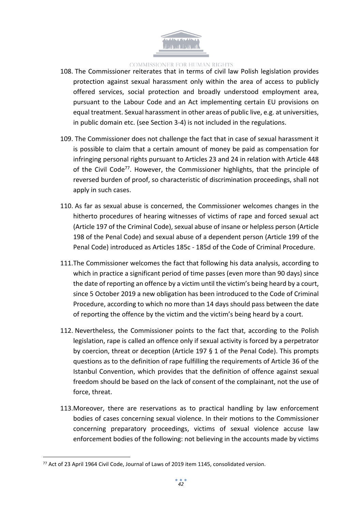

- 108. The Commissioner reiterates that in terms of civil law Polish legislation provides protection against sexual harassment only within the area of access to publicly offered services, social protection and broadly understood employment area, pursuant to the Labour Code and an Act implementing certain EU provisions on equal treatment. Sexual harassment in other areas of public live, e.g. at universities, in public domain etc. (see Section 3-4) is not included in the regulations.
- 109. The Commissioner does not challenge the fact that in case of sexual harassment it is possible to claim that a certain amount of money be paid as compensation for infringing personal rights pursuant to Articles 23 and 24 in relation with Article 448 of the Civil Code<sup>77</sup>. However, the Commissioner highlights, that the principle of reversed burden of proof, so characteristic of discrimination proceedings, shall not apply in such cases.
- 110. As far as sexual abuse is concerned, the Commissioner welcomes changes in the hitherto procedures of hearing witnesses of victims of rape and forced sexual act (Article 197 of the Criminal Code), sexual abuse of insane or helpless person (Article 198 of the Penal Code) and sexual abuse of a dependent person (Article 199 of the Penal Code) introduced as Articles 185c - 185d of the Code of Criminal Procedure.
- 111.The Commissioner welcomes the fact that following his data analysis, according to which in practice a significant period of time passes (even more than 90 days) since the date of reporting an offence by a victim until the victim's being heard by a court, since 5 October 2019 a new obligation has been introduced to the Code of Criminal Procedure, according to which no more than 14 days should pass between the date of reporting the offence by the victim and the victim's being heard by a court.
- 112. Nevertheless, the Commissioner points to the fact that, according to the Polish legislation, rape is called an offence only if sexual activity is forced by a perpetrator by coercion, threat or deception (Article 197 § 1 of the Penal Code). This prompts questions as to the definition of rape fulfilling the requirements of Article 36 of the Istanbul Convention, which provides that the definition of offence against sexual freedom should be based on the lack of consent of the complainant, not the use of force, threat.
- 113.Moreover, there are reservations as to practical handling by law enforcement bodies of cases concerning sexual violence. In their motions to the Commissioner concerning preparatory proceedings, victims of sexual violence accuse law enforcement bodies of the following: not believing in the accounts made by victims

<sup>77</sup> Act of 23 April 1964 Civil Code, Journal of Laws of 2019 item 1145, consolidated version.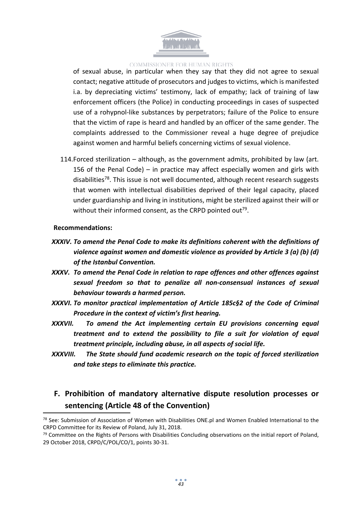

of sexual abuse, in particular when they say that they did not agree to sexual contact; negative attitude of prosecutors and judges to victims, which is manifested i.a. by depreciating victims' testimony, lack of empathy; lack of training of law enforcement officers (the Police) in conducting proceedings in cases of suspected use of a rohypnol-like substances by perpetrators; failure of the Police to ensure that the victim of rape is heard and handled by an officer of the same gender. The complaints addressed to the Commissioner reveal a huge degree of prejudice against women and harmful beliefs concerning victims of sexual violence.

114.Forced sterilization – although, as the government admits, prohibited by law (art. 156 of the Penal Code) – in practice may affect especially women and girls with disabilities<sup>78</sup>. This issue is not well documented, although recent research suggests that women with intellectual disabilities deprived of their legal capacity, placed under guardianship and living in institutions, might be sterilized against their will or without their informed consent, as the CRPD pointed out<sup>79</sup>.

#### **Recommendations:**

- *XXXIV. To amend the Penal Code to make its definitions coherent with the definitions of violence against women and domestic violence as provided by Article 3 (a) (b) (d) of the Istanbul Convention.*
- *XXXV. To amend the Penal Code in relation to rape offences and other offences against sexual freedom so that to penalize all non-consensual instances of sexual behaviour towards a harmed person.*
- *XXXVI. To monitor practical implementation of Article 185c§2 of the Code of Criminal Procedure in the context of victim's first hearing.*
- *XXXVII. To amend the Act implementing certain EU provisions concerning equal treatment and to extend the possibility to file a suit for violation of equal treatment principle, including abuse, in all aspects of social life.*
- *XXXVIII. The State should fund academic research on the topic of forced sterilization and take steps to eliminate this practice.*

# <span id="page-42-0"></span>**F. Prohibition of mandatory alternative dispute resolution processes or sentencing (Article 48 of the Convention)**

<sup>78</sup> See: Submission of Association of Women with Disabilities ONE.pl and Women Enabled International to the CRPD Committee for its Review of Poland, July 31, 2018.

 $79$  Committee on the Rights of Persons with Disabilities Concluding observations on the initial report of Poland, 29 October 2018, CRPD/C/POL/CO/1, points 30-31.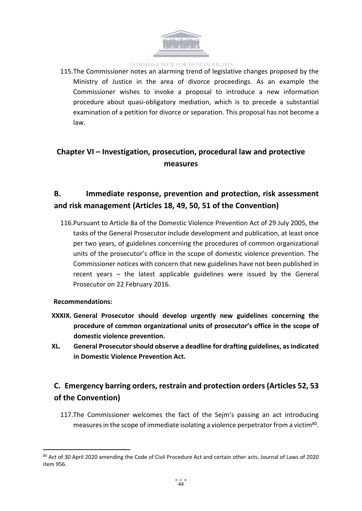

115.The Commissioner notes an alarming trend of legislative changes proposed by the Ministry of Justice in the area of divorce proceedings. As an example the Commissioner wishes to invoke a proposal to introduce a new information procedure about quasi-obligatory mediation, which is to precede a substantial examination of a petition for divorce or separation. This proposal has not become a law.

# <span id="page-43-0"></span>**Chapter VI – Investigation, prosecution, procedural law and protective measures**

# <span id="page-43-1"></span>**B. Immediate response, prevention and protection, risk assessment and risk management (Articles 18, 49, 50, 51 of the Convention)**

116.Pursuant to Article 8a of the Domestic Violence Prevention Act of 29 July 2005, the tasks of the General Prosecutor include development and publication, at least once per two years, of guidelines concerning the procedures of common organizational units of the prosecutor's office in the scope of domestic violence prevention. The Commissioner notices with concern that new guidelines have not been published in recent years – the latest applicable guidelines were issued by the General Prosecutor on 22 February 2016.

### **Recommendations:**

- **XXXIX. General Prosecutor should develop urgently new guidelines concerning the procedure of common organizational units of prosecutor's office in the scope of domestic violence prevention.**
- **XL. General Prosecutorshould observe a deadline for drafting guidelines, asindicated in Domestic Violence Prevention Act.**

# <span id="page-43-2"></span>**C. Emergency barring orders, restrain and protection orders (Articles 52, 53 of the Convention)**

117.The Commissioner welcomes the fact of the Sejm's passing an act introducing measures in the scope of immediate isolating a violence perpetrator from a victim<sup>80</sup>.

<sup>80</sup> Act of 30 April 2020 amending the Code of Civil Procedure Act and certain other acts, Journal of Laws of 2020 item 956.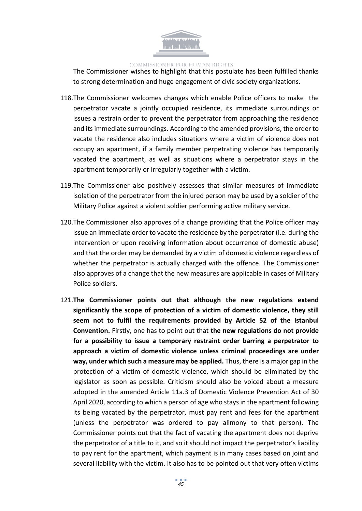

The Commissioner wishes to highlight that this postulate has been fulfilled thanks to strong determination and huge engagement of civic society organizations.

- 118.The Commissioner welcomes changes which enable Police officers to make the perpetrator vacate a jointly occupied residence, its immediate surroundings or issues a restrain order to prevent the perpetrator from approaching the residence and its immediate surroundings. According to the amended provisions, the order to vacate the residence also includes situations where a victim of violence does not occupy an apartment, if a family member perpetrating violence has temporarily vacated the apartment, as well as situations where a perpetrator stays in the apartment temporarily or irregularly together with a victim.
- 119.The Commissioner also positively assesses that similar measures of immediate isolation of the perpetrator from the injured person may be used by a soldier of the Military Police against a violent soldier performing active military service.
- 120.The Commissioner also approves of a change providing that the Police officer may issue an immediate order to vacate the residence by the perpetrator (i.e. during the intervention or upon receiving information about occurrence of domestic abuse) and that the order may be demanded by a victim of domestic violence regardless of whether the perpetrator is actually charged with the offence. The Commissioner also approves of a change that the new measures are applicable in cases of Military Police soldiers.
- 121.**The Commissioner points out that although the new regulations extend significantly the scope of protection of a victim of domestic violence, they still seem not to fulfil the requirements provided by Article 52 of the Istanbul Convention.** Firstly, one has to point out that **the new regulations do not provide for a possibility to issue a temporary restraint order barring a perpetrator to approach a victim of domestic violence unless criminal proceedings are under way, under which such a measure may be applied.** Thus, there is a major gap in the protection of a victim of domestic violence, which should be eliminated by the legislator as soon as possible. Criticism should also be voiced about a measure adopted in the amended Article 11a.3 of Domestic Violence Prevention Act of 30 April 2020, according to which a person of age who staysin the apartment following its being vacated by the perpetrator, must pay rent and fees for the apartment (unless the perpetrator was ordered to pay alimony to that person). The Commissioner points out that the fact of vacating the apartment does not deprive the perpetrator of a title to it, and so it should not impact the perpetrator's liability to pay rent for the apartment, which payment is in many cases based on joint and several liability with the victim. It also has to be pointed out that very often victims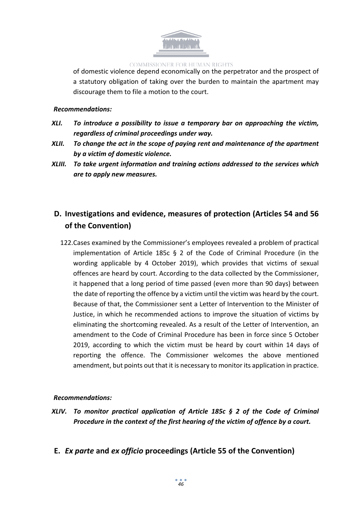

of domestic violence depend economically on the perpetrator and the prospect of a statutory obligation of taking over the burden to maintain the apartment may discourage them to file a motion to the court.

### *Recommendations:*

- *XLI. To introduce a possibility to issue a temporary bar on approaching the victim, regardless of criminal proceedings under way.*
- *XLII. To change the act in the scope of paying rent and maintenance of the apartment by a victim of domestic violence.*
- *XLIII. To take urgent information and training actions addressed to the services which are to apply new measures.*

# <span id="page-45-0"></span>**D. Investigations and evidence, measures of protection (Articles 54 and 56 of the Convention)**

122.Cases examined by the Commissioner's employees revealed a problem of practical implementation of Article 185c § 2 of the Code of Criminal Procedure (in the wording applicable by 4 October 2019), which provides that victims of sexual offences are heard by court. According to the data collected by the Commissioner, it happened that a long period of time passed (even more than 90 days) between the date of reporting the offence by a victim until the victim was heard by the court. Because of that, the Commissioner sent a Letter of Intervention to the Minister of Justice, in which he recommended actions to improve the situation of victims by eliminating the shortcoming revealed. As a result of the Letter of Intervention, an amendment to the Code of Criminal Procedure has been in force since 5 October 2019, according to which the victim must be heard by court within 14 days of reporting the offence. The Commissioner welcomes the above mentioned amendment, but points out that it is necessary to monitor its application in practice.

### *Recommendations:*

- *XLIV. To monitor practical application of Article 185c § 2 of the Code of Criminal Procedure in the context of the first hearing of the victim of offence by a court.*
- <span id="page-45-1"></span>**E.** *Ex parte* **and** *ex officio* **proceedings (Article 55 of the Convention)**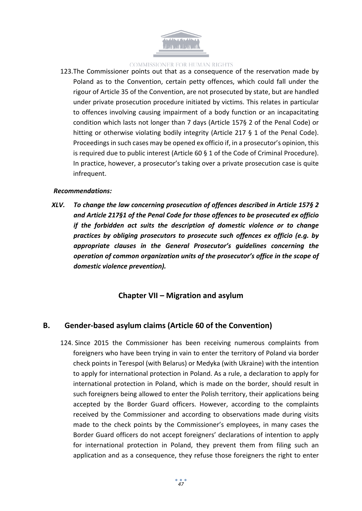

123.The Commissioner points out that as a consequence of the reservation made by Poland as to the Convention, certain petty offences, which could fall under the rigour of Article 35 of the Convention, are not prosecuted by state, but are handled under private prosecution procedure initiated by victims. This relates in particular to offences involving causing impairment of a body function or an incapacitating condition which lasts not longer than 7 days (Article 157§ 2 of the Penal Code) or hitting or otherwise violating bodily integrity (Article 217 § 1 of the Penal Code). Proceedings in such cases may be opened ex officio if, in a prosecutor's opinion, this is required due to public interest (Article 60 § 1 of the Code of Criminal Procedure). In practice, however, a prosecutor's taking over a private prosecution case is quite infrequent.

#### *Recommendations:*

*XLV. To change the law concerning prosecution of offences described in Article 157§ 2 and Article 217§1 of the Penal Code for those offences to be prosecuted ex officio if the forbidden act suits the description of domestic violence or to change practices by obliging prosecutors to prosecute such offences ex officio (e.g. by appropriate clauses in the General Prosecutor's guidelines concerning the operation of common organization units of the prosecutor's office in the scope of domestic violence prevention).*

### <span id="page-46-0"></span>**Chapter VII – Migration and asylum**

### <span id="page-46-1"></span>**B. Gender-based asylum claims (Article 60 of the Convention)**

124. Since 2015 the Commissioner has been receiving numerous complaints from foreigners who have been trying in vain to enter the territory of Poland via border check points in Terespol (with Belarus) or Medyka (with Ukraine) with the intention to apply for international protection in Poland. As a rule, a declaration to apply for international protection in Poland, which is made on the border, should result in such foreigners being allowed to enter the Polish territory, their applications being accepted by the Border Guard officers. However, according to the complaints received by the Commissioner and according to observations made during visits made to the check points by the Commissioner's employees, in many cases the Border Guard officers do not accept foreigners' declarations of intention to apply for international protection in Poland, they prevent them from filing such an application and as a consequence, they refuse those foreigners the right to enter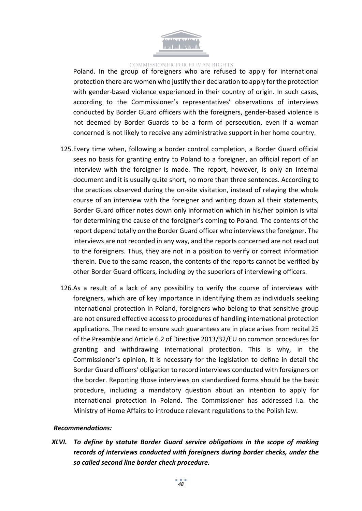

Poland. In the group of foreigners who are refused to apply for international protection there are women who justify their declaration to apply for the protection with gender-based violence experienced in their country of origin. In such cases, according to the Commissioner's representatives' observations of interviews conducted by Border Guard officers with the foreigners, gender-based violence is not deemed by Border Guards to be a form of persecution, even if a woman concerned is not likely to receive any administrative support in her home country.

- 125.Every time when, following a border control completion, a Border Guard official sees no basis for granting entry to Poland to a foreigner, an official report of an interview with the foreigner is made. The report, however, is only an internal document and it is usually quite short, no more than three sentences. According to the practices observed during the on-site visitation, instead of relaying the whole course of an interview with the foreigner and writing down all their statements, Border Guard officer notes down only information which in his/her opinion is vital for determining the cause of the foreigner's coming to Poland. The contents of the report depend totally on the Border Guard officer who interviews the foreigner. The interviews are not recorded in any way, and the reports concerned are not read out to the foreigners. Thus, they are not in a position to verify or correct information therein. Due to the same reason, the contents of the reports cannot be verified by other Border Guard officers, including by the superiors of interviewing officers.
- 126.As a result of a lack of any possibility to verify the course of interviews with foreigners, which are of key importance in identifying them as individuals seeking international protection in Poland, foreigners who belong to that sensitive group are not ensured effective access to procedures of handling international protection applications. The need to ensure such guarantees are in place arises from recital 25 of the Preamble and Article 6.2 of Directive 2013/32/EU on common procedures for granting and withdrawing international protection. This is why, in the Commissioner's opinion, it is necessary for the legislation to define in detail the Border Guard officers' obligation to record interviews conducted with foreigners on the border. Reporting those interviews on standardized forms should be the basic procedure, including a mandatory question about an intention to apply for international protection in Poland. The Commissioner has addressed i.a. the Ministry of Home Affairs to introduce relevant regulations to the Polish law.

#### *Recommendations:*

*XLVI. To define by statute Border Guard service obligations in the scope of making records of interviews conducted with foreigners during border checks, under the so called second line border check procedure.*